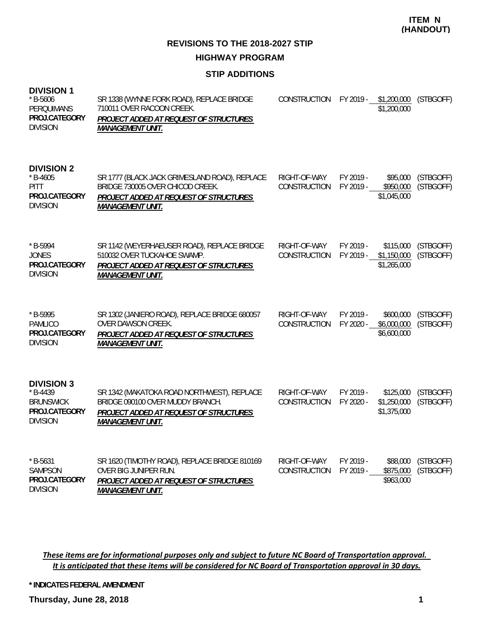**REVISIONS TO THE 2018-2027 STIP HIGHWAY PROGRAM**

#### **STIP ADDITIONS**

| <b>DIVISION 1</b><br>$*$ B-5606<br>PERQUIMANS<br>PROJ.CATEGORY<br><b>DIVISION</b>       | SR 1338 (WYNNE FORK ROAD), REPLACE BRIDGE<br>710011 OVER RACOON CREEK.<br>PROJECT ADDED AT REQUEST OF STRUCTURES<br><b>MANAGEMENT UNIT.</b>            | CONSTRUCTION                 | FY 2019 -              | \$1,200,000<br>\$1,200,000              | (STBGOFF)              |
|-----------------------------------------------------------------------------------------|--------------------------------------------------------------------------------------------------------------------------------------------------------|------------------------------|------------------------|-----------------------------------------|------------------------|
| <b>DIVISION 2</b><br>$* B-4605$<br><b>PITT</b><br>PROJ.CATEGORY<br><b>DIVISION</b>      | SR 1777 (BLACK JACK GRIMESLAND ROAD), REPLACE<br>BRIDGE 730005 OVER CHICOD CREEK.<br>PROJECT ADDED AT REQUEST OF STRUCTURES<br><b>MANAGEMENT UNIT.</b> | RIGHT-OF-WAY<br>CONSTRUCTION | FY 2019 -<br>FY 2019 - | \$95,000<br>\$950,000<br>\$1,045,000    | (STBGOFF)<br>(STBGOFF) |
| $*$ B-5994<br><b>JONES</b><br>PROJ.CATEGORY<br><b>DIVISION</b>                          | SR 1142 (WEYERHAEUSER ROAD), REPLACE BRIDGE<br>510032 OVER TUCKAHOE SWAMP.<br>PROJECT ADDED AT REQUEST OF STRUCTURES<br><b>MANAGEMENT UNIT.</b>        | RIGHT-OF-WAY<br>CONSTRUCTION | FY 2019 -<br>FY 2019 - | \$115,000<br>\$1,150,000<br>\$1,265,000 | (STBGOFF)<br>(STBGOFF) |
| * B-5995<br><b>PAMLICO</b><br>PROJ.CATEGORY<br><b>DIVISION</b>                          | SR 1302 (JANIERO ROAD), REPLACE BRIDGE 680057<br>OVER DAWSON CREEK.<br>PROJECT ADDED AT REQUEST OF STRUCTURES<br><b>MANAGEMENT UNIT.</b>               | RIGHT-OF-WAY<br>CONSTRUCTION | FY 2019 -<br>FY 2020 - | \$600,000<br>\$6,000,000<br>\$6,600,000 | (STBGOFF)<br>(STBGOFF) |
| <b>DIVISION 3</b><br>$* B-4439$<br><b>BRUNSWICK</b><br>PROJ.CATEGORY<br><b>DIVISION</b> | SR 1342 (MAKATOKA ROAD NORTHWEST), REPLACE<br>BRIDGE 090100 OVER MUDDY BRANCH.<br>PROJECT ADDED AT REQUEST OF STRUCTURES<br><b>MANAGEMENT UNIT.</b>    | RIGHT-OF-WAY<br>CONSTRUCTION | FY 2019 -<br>FY 2020 - | \$125,000<br>\$1,250,000<br>\$1,375,000 | (STBGOFF)<br>(STBGOFF) |
| $*$ B-5631<br>SAMPSON<br>PROJ.CATEGORY                                                  | SR 1620 (TIMOTHY ROAD), REPLACE BRIDGE 810169<br>OVER BIG JUNIPER RUN.<br>PROJECT ADDED AT REQUEST OF STRUCTURES                                       | RIGHT-OF-WAY<br>CONSTRUCTION | FY 2019 -<br>FY 2019 - | \$88,000<br>\$875,000<br>\$963,000      | (STBGOFF)<br>(STBGOFF) |

These items are for informational purposes only and subject to future NC Board of Transportation approval. It is anticipated that these items will be considered for NC Board of Transportation approval in 30 days.

**\* INDICATES FEDERAL AMENDMENT**

*MANAGEMENT UNIT.*

**Thursday, June 28, 2018 1**

DIVISION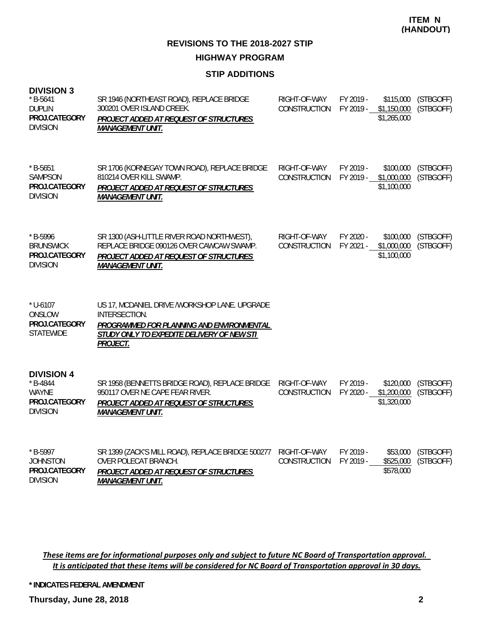#### **STIP ADDITIONS**

| <b>DIVISION 3</b><br>$*$ B-5641<br><b>DUPLIN</b><br>PROJ.CATEGORY<br><b>DIVISION</b> | SR 1946 (NORTHEAST ROAD), REPLACE BRIDGE<br>300201 OVER ISLAND CREEK.<br>PROJECT ADDED AT REQUEST OF STRUCTURES<br><b>MANAGEMENT UNIT.</b>                             | RIGHT-OF-WAY<br>CONSTRUCTION | FY 2019 -<br>FY 2019 - | \$115,000<br>\$1,150,000<br>\$1,265,000 | (STBGOFF)<br>(STBGOFF) |
|--------------------------------------------------------------------------------------|------------------------------------------------------------------------------------------------------------------------------------------------------------------------|------------------------------|------------------------|-----------------------------------------|------------------------|
| $*$ B-5651<br><b>SAMPSON</b><br>PROJ.CATEGORY<br><b>DIVISION</b>                     | SR 1706 (KORNEGAY TOWN ROAD), REPLACE BRIDGE<br>810214 OVER KILL SWAMP.<br>PROJECT ADDED AT REQUEST OF STRUCTURES<br><b>MANAGEMENT UNIT.</b>                           | RIGHT-OF-WAY<br>CONSTRUCTION | FY 2019 -<br>FY 2019 - | \$100,000<br>\$1,000,000<br>\$1,100,000 | (STBGOFF)<br>(STBGOFF) |
| $*$ B-5996<br><b>BRUNSWICK</b><br>PROJ.CATEGORY<br><b>DIVISION</b>                   | SR 1300 (ASH-LITTLE RIVER ROAD NORTHWEST),<br>REPLACE BRIDGE 090126 OVER CAWCAW SWAMP.<br>PROJECT ADDED AT REQUEST OF STRUCTURES<br><b>MANAGEMENT UNIT.</b>            | RIGHT-OF-WAY<br>CONSTRUCTION | FY 2020 -<br>FY 2021 - | \$100,000<br>\$1,000,000<br>\$1,100,000 | (STBGOFF)<br>(STBGOFF) |
| $*$ U-6107<br>ONSLOW<br>PROJ.CATEGORY<br><b>STATEWIDE</b>                            | US 17, MCDANIEL DRIVE / WORKSHOP LANE. UPGRADE<br>INTERSECTION.<br>PROGRAMMED FOR PLANNING AND ENVIRONMENTAL<br>STUDY ONLY TO EXPEDITE DELIVERY OF NEW STI<br>PROJECT. |                              |                        |                                         |                        |
| <b>DIVISION 4</b><br>$*$ B-4844<br><b>WAYNE</b><br>PROJ.CATEGORY<br><b>DIVISION</b>  | SR 1958 (BENNETTS BRIDGE ROAD), REPLACE BRIDGE<br>950117 OVER NE CAPE FEAR RIVER.<br>PROJECT ADDED AT REQUEST OF STRUCTURES<br><b>MANAGEMENT UNIT.</b>                 | RIGHT-OF-WAY<br>CONSTRUCTION | FY 2019 -<br>FY 2020 - | \$120,000<br>\$1,200,000<br>\$1,320,000 | (STBGOFF)<br>(STBGOFF) |
| * B-5997<br><b>JOHNSTON</b><br>PROJ.CATEGORY<br><b>DIVISION</b>                      | SR 1399 (ZACK'S MILL ROAD), REPLACE BRIDGE 500277<br><b>OVER POLECAT BRANCH.</b><br><b>PROJECT ADDED AT REQUEST OF STRUCTURES</b><br><b>MANAGEMENT UNIT.</b>           | RIGHT-OF-WAY<br>CONSTRUCTION | FY 2019 -<br>FY 2019 - | \$53,000<br>\$525,000<br>\$578,000      | (STBGOFF)<br>(STBGOFF) |

These items are for informational purposes only and subject to future NC Board of Transportation approval. It is anticipated that these items will be considered for NC Board of Transportation approval in 30 days.

**\* INDICATES FEDERAL AMENDMENT**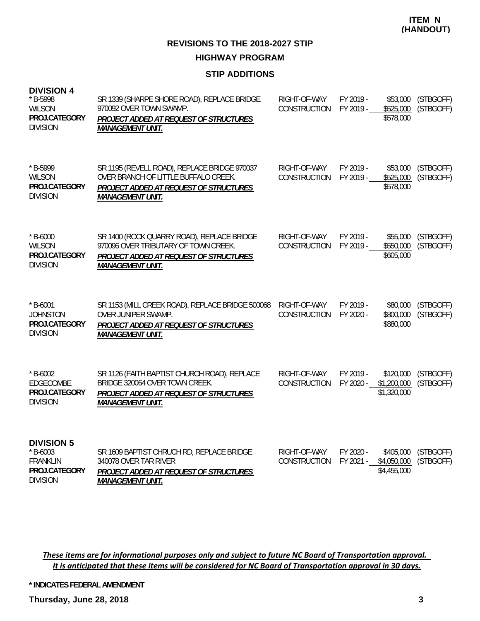**REVISIONS TO THE 2018-2027 STIP HIGHWAY PROGRAM**

#### **STIP ADDITIONS**

| <b>DIVISION 4</b><br>* B-5998<br><b>WILSON</b><br>PROJ.CATEGORY<br><b>DIVISION</b>     | SR 1339 (SHARPE SHORE ROAD), REPLACE BRIDGE<br>970092 OVER TOWN SWAMP.<br><b>PROJECT ADDED AT REQUEST OF STRUCTURES</b><br><b>MANAGEMENT UNIT.</b>        | RIGHT-OF-WAY<br>CONSTRUCTION        | FY 2019 -<br>FY 2019 - | \$53,000<br>\$525,000<br>\$578,000      | (STBGOFF)<br>(STBGOFF) |
|----------------------------------------------------------------------------------------|-----------------------------------------------------------------------------------------------------------------------------------------------------------|-------------------------------------|------------------------|-----------------------------------------|------------------------|
| * B-5999<br><b>WILSON</b><br>PROJ.CATEGORY<br><b>DIVISION</b>                          | SR 1195 (REVELL ROAD), REPLACE BRIDGE 970037<br>OVER BRANCH OF LITTLE BUFFALO CREEK.<br>PROJECT ADDED AT REQUEST OF STRUCTURES<br><b>MANAGEMENT UNIT.</b> | RIGHT-OF-WAY<br>CONSTRUCTION        | FY 2019 -<br>FY 2019 - | \$53,000<br>\$525,000<br>\$578,000      | (STBGOFF)<br>(STBGOFF) |
| $*$ B-6000<br><b>WILSON</b><br>PROJ.CATEGORY<br><b>DIVISION</b>                        | SR 1400 (ROCK QUARRY ROAD), REPLACE BRIDGE<br>970096 OVER TRIBUTARY OF TOWN CREEK.<br>PROJECT ADDED AT REQUEST OF STRUCTURES<br><b>MANAGEMENT UNIT.</b>   | RIGHT-OF-WAY<br><b>CONSTRUCTION</b> | FY 2019 -<br>FY 2019 - | \$55,000<br>\$550,000<br>\$605,000      | (STBGOFF)<br>(STBGOFF) |
| $*$ B-6001<br><b>JOHNSTON</b><br>PROJ.CATEGORY<br><b>DIVISION</b>                      | SR 1153 (MILL CREEK ROAD), REPLACE BRIDGE 500068<br>OVER JUNIPER SWAMP.<br>PROJECT ADDED AT REQUEST OF STRUCTURES<br><b>MANAGEMENT UNIT.</b>              | RIGHT-OF-WAY<br>CONSTRUCTION        | FY 2019 -<br>FY 2020 - | \$80,000<br>\$800,000<br>\$880,000      | (STBGOFF)<br>(STBGOFF) |
| $*$ B-6002<br>EDGECOMBE<br>PROJ.CATEGORY<br><b>DIVISION</b>                            | SR 1126 (FAITH BAPTIST CHURCH ROAD), REPLACE<br>BRIDGE 320064 OVER TOWN CREEK.<br>PROJECT ADDED AT REQUEST OF STRUCTURES<br><b>MANAGEMENT UNIT.</b>       | RIGHT-OF-WAY<br>CONSTRUCTION        | FY 2019 -<br>FY 2020 - | \$120,000<br>\$1,200,000<br>\$1,320,000 | (STBGOFF)<br>(STBGOFF) |
| <b>DIVISION 5</b><br>$*$ B-6003<br><b>FRANKLIN</b><br>PROJ.CATEGORY<br><b>DIVISION</b> | SR 1609 BAPTIST CHRUCH RD, REPLACE BRIDGE<br>340078 OVER TAR RIVER<br>PROJECT ADDED AT REQUEST OF STRUCTURES<br><b>MANAGEMENT UNIT.</b>                   | RIGHT-OF-WAY<br><b>CONSTRUCTION</b> | FY 2020 -<br>FY 2021 - | \$405,000<br>\$4,050,000<br>\$4,455,000 | (STBGOFF)<br>(STBGOFF) |

These items are for informational purposes only and subject to future NC Board of Transportation approval. It is anticipated that these items will be considered for NC Board of Transportation approval in 30 days.

**\* INDICATES FEDERAL AMENDMENT**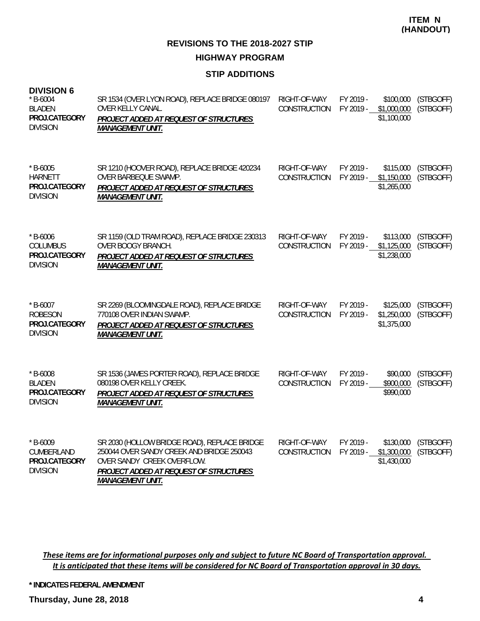#### **STIP ADDITIONS**

#### **DIVISION 6**

| $*$ B-6004<br><b>BLADEN</b><br>PROJ.CATEGORY<br><b>DIVISION</b>   | SR 1534 (OVER LYON ROAD), REPLACE BRIDGE 080197<br><b>OVER KELLY CANAL.</b><br>PROJECT ADDED AT REQUEST OF STRUCTURES<br><b>MANAGEMENT UNIT.</b>                                             | RIGHT-OF-WAY<br>CONSTRUCTION        | FY 2019 -<br>FY 2019 - | \$100,000<br>\$1,000,000<br>\$1,100,000 | (STBGOFF)<br>(STBGOFF) |
|-------------------------------------------------------------------|----------------------------------------------------------------------------------------------------------------------------------------------------------------------------------------------|-------------------------------------|------------------------|-----------------------------------------|------------------------|
| $*$ B-6005<br><b>HARNETT</b><br>PROJ.CATEGORY<br><b>DIVISION</b>  | SR 1210 (HOOVER ROAD), REPLACE BRIDGE 420234<br>OVER BARBEQUE SWAMP.<br>PROJECT ADDED AT REQUEST OF STRUCTURES<br><b>MANAGEMENT UNIT.</b>                                                    | RIGHT-OF-WAY<br><b>CONSTRUCTION</b> | FY 2019 -<br>FY 2019 - | \$115,000<br>\$1,150,000<br>\$1,265,000 | (STBGOFF)<br>(STBGOFF) |
| $*$ B-6006<br><b>COLUMBUS</b><br>PROJ.CATEGORY<br><b>DIVISION</b> | SR 1159 (OLD TRAM ROAD), REPLACE BRIDGE 230313<br>OVER BOOGY BRANCH.<br>PROJECT ADDED AT REQUEST OF STRUCTURES<br><b>MANAGEMENT UNIT.</b>                                                    | RIGHT-OF-WAY<br>CONSTRUCTION        | FY 2019 -<br>FY 2019 - | \$113,000<br>\$1,125,000<br>\$1,238,000 | (STBGOFF)<br>(STBGOFF) |
| $*$ B-6007<br><b>ROBESON</b><br>PROJ.CATEGORY<br><b>DIVISION</b>  | SR 2269 (BLOOMINGDALE ROAD), REPLACE BRIDGE<br>770108 OVER INDIAN SWAMP.<br>PROJECT ADDED AT REQUEST OF STRUCTURES<br><b>MANAGEMENT UNIT.</b>                                                | RIGHT-OF-WAY<br><b>CONSTRUCTION</b> | FY 2019 -<br>FY 2019 - | \$125,000<br>\$1,250,000<br>\$1,375,000 | (STBGOFF)<br>(STBGOFF) |
| $*$ B-6008<br><b>BLADEN</b><br>PROJ.CATEGORY<br><b>DIVISION</b>   | SR 1536 (JAMES PORTER ROAD), REPLACE BRIDGE<br>080198 OVER KELLY CREEK.<br>PROJECT ADDED AT REQUEST OF STRUCTURES<br><b>MANAGEMENT UNIT.</b>                                                 | RIGHT-OF-WAY<br><b>CONSTRUCTION</b> | FY 2019 -<br>FY 2019 - | \$90,000<br>\$900,000<br>\$990,000      | (STBGOFF)<br>(STBGOFF) |
| $*$ B-6009<br>CUMBERLAND<br>PROJ.CATEGORY<br><b>DIVISION</b>      | SR 2030 (HOLLOW BRIDGE ROAD), REPLACE BRIDGE<br>250044 OVER SANDY CREEK AND BRIDGE 250043<br>OVER SANDY CREEK OVERFLOW.<br>PROJECT ADDED AT REQUEST OF STRUCTURES<br><b>MANAGEMENT UNIT.</b> | RIGHT-OF-WAY<br><b>CONSTRUCTION</b> | FY 2019 -<br>FY 2019 - | \$130,000<br>\$1,300,000<br>\$1,430,000 | (STBGOFF)<br>(STBGOFF) |

These items are for informational purposes only and subject to future NC Board of Transportation approval. It is anticipated that these items will be considered for NC Board of Transportation approval in 30 days.

**\* INDICATES FEDERAL AMENDMENT**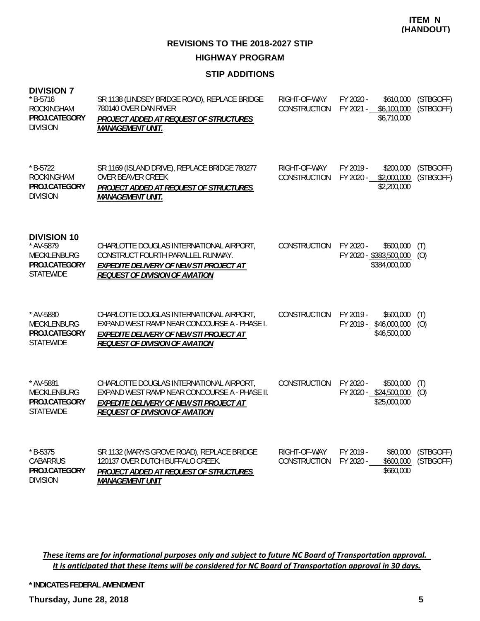#### **STIP ADDITIONS**

| <b>DIVISION 7</b><br>* B-5716<br><b>ROCKINGHAM</b><br>PROJ.CATEGORY<br><b>DIVISION</b>     | SR 1138 (LINDSEY BRIDGE ROAD), REPLACE BRIDGE<br>780140 OVER DAN RIVER<br>PROJECT ADDED AT REQUEST OF STRUCTURES<br><b>MANAGEMENT UNIT.</b>                                           | RIGHT-OF-WAY<br><b>CONSTRUCTION</b> | FY 2020 -<br>\$610,000<br>FY 2021 -<br>\$6,100,000<br>\$6,710,000  | (STBGOFF)<br>(STBGOFF) |
|--------------------------------------------------------------------------------------------|---------------------------------------------------------------------------------------------------------------------------------------------------------------------------------------|-------------------------------------|--------------------------------------------------------------------|------------------------|
| $* B-5722$<br><b>ROCKINGHAM</b><br>PROJ.CATEGORY<br><b>DIVISION</b>                        | SR 1169 (ISLAND DRIVE), REPLACE BRIDGE 780277<br><b>OVER BEAVER CREEK</b><br>PROJECT ADDED AT REQUEST OF STRUCTURES<br><b>MANAGEMENT UNIT.</b>                                        | RIGHT-OF-WAY<br>CONSTRUCTION        | FY 2019 -<br>\$200,000<br>\$2,000,000<br>FY 2020 -<br>\$2,200,000  | (STBGOFF)<br>(STBGOFF) |
| <b>DIVISION 10</b><br>* AV-5879<br><b>MECKLENBURG</b><br>PROJ.CATEGORY<br><b>STATEWIDE</b> | CHARLOTTE DOUGLAS INTERNATIONAL AIRPORT,<br>CONSTRUCT FOURTH PARALLEL RUNWAY.<br><b>EXPEDITE DELIVERY OF NEW STI PROJECT AT</b><br><b>REQUEST OF DIVISION OF AVIATION</b>             | <b>CONSTRUCTION</b>                 | FY 2020 -<br>\$500,000<br>FY 2020 - \$383,500,000<br>\$384,000,000 | (T)<br>(O)             |
| * AV-5880<br><b>MECKLENBURG</b><br>PROJ.CATEGORY<br><b>STATEWIDE</b>                       | CHARLOTTE DOUGLAS INTERNATIONAL AIRPORT,<br>EXPAND WEST RAMP NEAR CONCOURSE A - PHASE I.<br><b>EXPEDITE DELIVERY OF NEW STI PROJECT AT</b><br><b>REQUEST OF DIVISION OF AVIATION</b>  | CONSTRUCTION                        | FY 2019 -<br>\$500,000<br>FY 2019 - \$46,000,000<br>\$46,500,000   | (T)<br>(0)             |
| * AV-5881<br>MECKLENBURG<br>PROJ.CATEGORY<br><b>STATEWIDE</b>                              | CHARLOTTE DOUGLAS INTERNATIONAL AIRPORT,<br>EXPAND WEST RAMP NEAR CONCOURSE A - PHASE II.<br><b>EXPEDITE DELIVERY OF NEW STI PROJECT AT</b><br><b>REQUEST OF DIVISION OF AVIATION</b> | <b>CONSTRUCTION</b>                 | FY 2020 -<br>\$500,000<br>FY 2020 - \$24,500,000<br>\$25,000,000   | (T)<br>(O)             |
| $*$ B-5375<br><b>CABARRUS</b><br>PROJ.CATEGORY<br><b>DIVISION</b>                          | SR 1132 (MARYS GROVE ROAD), REPLACE BRIDGE<br>120137 OVER DUTCH BUFFALO CREEK.<br>PROJECT ADDED AT REQUEST OF STRUCTURES<br><b>MANAGEMENT UNIT</b>                                    | RIGHT-OF-WAY<br><b>CONSTRUCTION</b> | FY 2019 -<br>\$60,000<br>FY 2020 -<br>\$600,000<br>\$660,000       | (STBGOFF)<br>(STBGOFF) |

These items are for informational purposes only and subject to future NC Board of Transportation approval. It is anticipated that these items will be considered for NC Board of Transportation approval in 30 days.

**\* INDICATES FEDERAL AMENDMENT**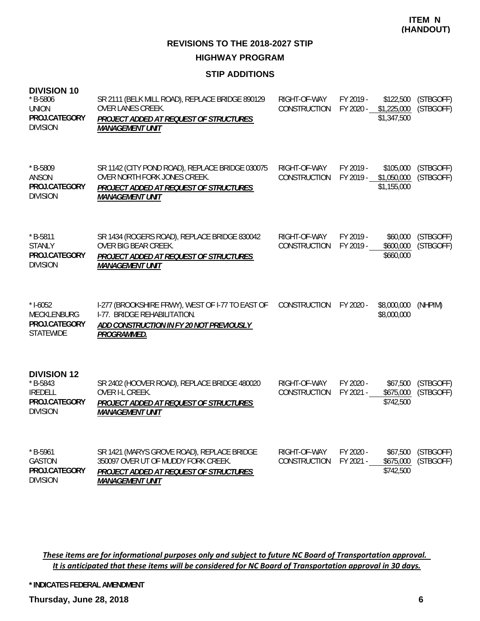#### **STIP ADDITIONS**

| $*$ B-5806<br><b>UNION</b><br>PROJ.CATEGORY<br><b>DIVISION</b>                         | SR 2111 (BELK MILL ROAD), REPLACE BRIDGE 890129<br>OVER LANES CREEK.<br>PROJECT ADDED AT REQUEST OF STRUCTURES<br><b>MANAGEMENT UNIT</b>              | RIGHT-OF-WAY<br>CONSTRUCTION | FY 2019 -<br>FY 2020 - | \$122,500<br>\$1,225,000<br>\$1,347,500 | (STBGOFF)<br>(STBGOFF) |
|----------------------------------------------------------------------------------------|-------------------------------------------------------------------------------------------------------------------------------------------------------|------------------------------|------------------------|-----------------------------------------|------------------------|
| * B-5809<br>ANSON<br>PROJ.CATEGORY<br><b>DIVISION</b>                                  | SR 1142 (CITY POND ROAD), REPLACE BRIDGE 030075<br>OVER NORTH FORK JONES CREEK.<br>PROJECT ADDED AT REQUEST OF STRUCTURES<br><b>MANAGEMENT UNIT</b>   | RIGHT-OF-WAY<br>CONSTRUCTION | FY 2019 -<br>FY 2019 - | \$105,000<br>\$1,050,000<br>\$1,155,000 | (STBGOFF)<br>(STBGOFF) |
| $*$ B-5811<br><b>STANLY</b><br>PROJ.CATEGORY<br><b>DIVISION</b>                        | SR 1434 (ROGERS ROAD), REPLACE BRIDGE 830042<br>OVER BIG BEAR CREEK.<br>PROJECT ADDED AT REQUEST OF STRUCTURES<br><b>MANAGEMENT UNIT</b>              | RIGHT-OF-WAY<br>CONSTRUCTION | FY 2019 -<br>FY 2019 - | \$60,000<br>\$600,000<br>\$660,000      | (STBGOFF)<br>(STBGOFF) |
| $* I - 6052$<br>MECKLENBURG<br>PROJ.CATEGORY<br><b>STATEWIDE</b>                       | I-277 (BROOKSHIRE FRWY), WEST OF I-77 TO EAST OF<br>I-77. BRIDGE REHABILITATION.<br>ADD CONSTRUCTION IN FY 20 NOT PREVIOUSLY<br>PROGRAMMED.           | CONSTRUCTION                 | FY 2020 -              | \$8,000,000<br>\$8,000,000              | (NHPIM)                |
| <b>DIVISION 12</b><br>$*$ B-5843<br><b>IREDELL</b><br>PROJ.CATEGORY<br><b>DIVISION</b> | SR 2402 (HOOVER ROAD), REPLACE BRIDGE 480020<br>OVER I-L CREEK.<br>PROJECT ADDED AT REQUEST OF STRUCTURES<br><b>MANAGEMENT UNIT</b>                   | RIGHT-OF-WAY<br>CONSTRUCTION | FY 2020 -<br>FY 2021 - | \$67,500<br>\$675,000<br>\$742,500      | (STBGOFF)<br>(STBGOFF) |
| $*$ B-5961<br><b>GASTON</b><br>PROJ.CATEGORY<br><b>DIVISION</b>                        | SR 1421 (MARYS GROVE ROAD), REPLACE BRIDGE<br>350097 OVER UT OF MUDDY FORK CREEK.<br>PROJECT ADDED AT REQUEST OF STRUCTURES<br><b>MANAGEMENT UNIT</b> | RIGHT-OF-WAY<br>CONSTRUCTION | FY 2020 -<br>FY 2021 - | \$67,500<br>\$675,000<br>\$742,500      | (STBGOFF)<br>(STBGOFF) |

These items are for informational purposes only and subject to future NC Board of Transportation approval. It is anticipated that these items will be considered for NC Board of Transportation approval in 30 days.

**\* INDICATES FEDERAL AMENDMENT**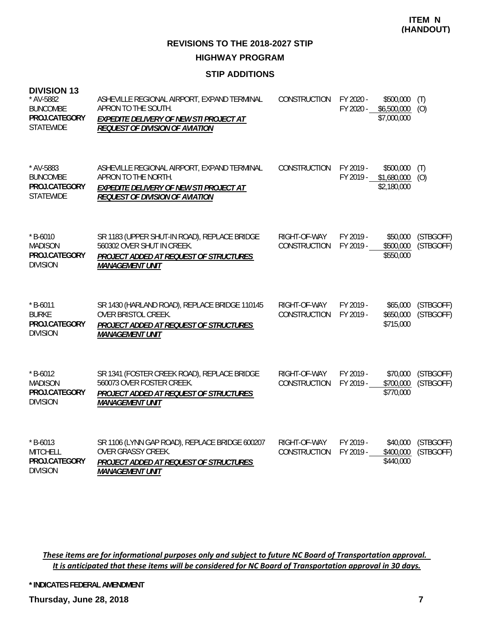# **STIP ADDITIONS**

| <b>DIVISION 13</b><br>* AV-5882<br><b>BUNCOMBE</b><br>PROJ.CATEGORY<br><b>STATEWIDE</b> | ASHEVILLE REGIONAL AIRPORT, EXPAND TERMINAL<br>APRON TO THE SOUTH.<br><b>EXPEDITE DELIVERY OF NEW STI PROJECT AT</b><br><b>REQUEST OF DIVISION OF AVIATION</b> | CONSTRUCTION                        | FY 2020 -<br>FY 2020 - | \$500,000<br>\$6,500,000<br>\$7,000,000 | (T)<br>(0)             |
|-----------------------------------------------------------------------------------------|----------------------------------------------------------------------------------------------------------------------------------------------------------------|-------------------------------------|------------------------|-----------------------------------------|------------------------|
| * AV-5883<br><b>BUNCOMBE</b><br>PROJ.CATEGORY<br><b>STATEWIDE</b>                       | ASHEVILLE REGIONAL AIRPORT, EXPAND TERMINAL<br>APRON TO THE NORTH.<br><b>EXPEDITE DELIVERY OF NEW STI PROJECT AT</b><br><b>REQUEST OF DIVISION OF AVIATION</b> | CONSTRUCTION                        | FY 2019 -<br>FY 2019 - | \$500,000<br>\$1,680,000<br>\$2,180,000 | (T)<br>(0)             |
| $*$ B-6010<br><b>MADISON</b><br>PROJ.CATEGORY<br><b>DIVISION</b>                        | SR 1183 (UPPER SHUT-IN ROAD), REPLACE BRIDGE<br>560302 OVER SHUT IN CREEK.<br>PROJECT ADDED AT REQUEST OF STRUCTURES<br><b>MANAGEMENT UNIT</b>                 | RIGHT-OF-WAY<br><b>CONSTRUCTION</b> | FY 2019 -<br>FY 2019 - | \$50,000<br>\$500,000<br>\$550,000      | (STBGOFF)<br>(STBGOFF) |
| $*$ B-6011<br><b>BURKE</b><br>PROJ.CATEGORY<br><b>DIVISION</b>                          | SR 1430 (HARLAND ROAD), REPLACE BRIDGE 110145<br>OVER BRISTOL CREEK.<br>PROJECT ADDED AT REQUEST OF STRUCTURES<br><b>MANAGEMENT UNIT</b>                       | RIGHT-OF-WAY<br><b>CONSTRUCTION</b> | FY 2019 -<br>FY 2019 - | \$65,000<br>\$650,000<br>\$715,000      | (STBGOFF)<br>(STBGOFF) |
| $*$ B-6012<br><b>MADISON</b><br>PROJ.CATEGORY<br><b>DIVISION</b>                        | SR 1341 (FOSTER CREEK ROAD), REPLACE BRIDGE<br>560073 OVER FOSTER CREEK.<br>PROJECT ADDED AT REQUEST OF STRUCTURES<br><b>MANAGEMENT UNIT</b>                   | RIGHT-OF-WAY<br>CONSTRUCTION        | FY 2019 -<br>FY 2019 - | \$70,000<br>\$700,000<br>\$770,000      | (STBGOFF)<br>(STBGOFF) |
| $*$ B-6013<br><b>MITCHELL</b><br>PROJ.CATEGORY<br><b>DIVISION</b>                       | SR 1106 (LYNN GAP ROAD), REPLACE BRIDGE 600207<br><b>OVER GRASSY CREEK.</b><br>PROJECT ADDED AT REQUEST OF STRUCTURES<br><b>MANAGEMENT UNIT</b>                | RIGHT-OF-WAY<br>CONSTRUCTION        | FY 2019 -<br>FY 2019 - | \$40,000<br>\$400,000<br>\$440,000      | (STBGOFF)<br>(STBGOFF) |

These items are for informational purposes only and subject to future NC Board of Transportation approval. It is anticipated that these items will be considered for NC Board of Transportation approval in 30 days.

**\* INDICATES FEDERAL AMENDMENT**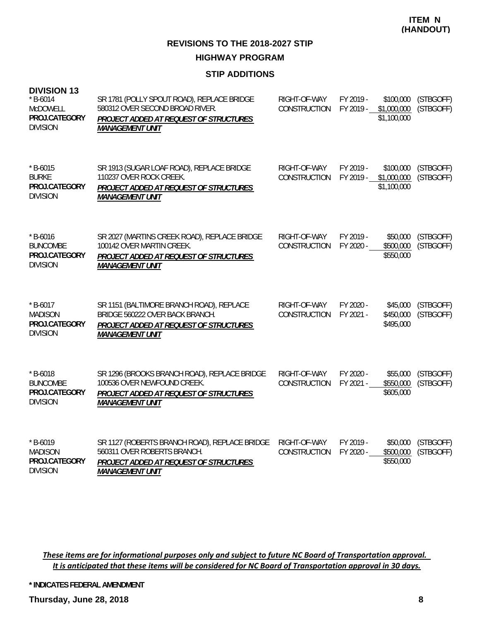**REVISIONS TO THE 2018-2027 STIP HIGHWAY PROGRAM**

#### **STIP ADDITIONS**

| <b>DIVISION 13</b><br>$*$ B-6014<br>McDOWELL<br>PROJ.CATEGORY<br><b>DIVISION</b> | SR 1781 (POLLY SPOUT ROAD), REPLACE BRIDGE<br>580312 OVER SECOND BROAD RIVER.<br>PROJECT ADDED AT REQUEST OF STRUCTURES<br><b>MANAGEMENT UNIT</b> | RIGHT-OF-WAY<br>CONSTRUCTION | FY 2019 -<br>FY 2019 - | \$100,000<br>\$1,000,000<br>\$1,100,000 | (STBGOFF)<br>(STBGOFF) |
|----------------------------------------------------------------------------------|---------------------------------------------------------------------------------------------------------------------------------------------------|------------------------------|------------------------|-----------------------------------------|------------------------|
| $*$ B-6015<br><b>BURKE</b><br>PROJ.CATEGORY<br><b>DIVISION</b>                   | SR 1913 (SUGAR LOAF ROAD), REPLACE BRIDGE<br>110237 OVER ROCK CREEK.<br>PROJECT ADDED AT REQUEST OF STRUCTURES<br><b>MANAGEMENT UNIT</b>          | RIGHT-OF-WAY<br>CONSTRUCTION | FY 2019 -<br>FY 2019 - | \$100,000<br>\$1,000,000<br>\$1,100,000 | (STBGOFF)<br>(STBGOFF) |
| $*$ B-6016<br><b>BUNCOMBE</b><br>PROJ.CATEGORY<br><b>DIVISION</b>                | SR 2027 (MARTINS CREEK ROAD), REPLACE BRIDGE<br>100142 OVER MARTIN CREEK.<br>PROJECT ADDED AT REQUEST OF STRUCTURES<br><b>MANAGEMENT UNIT</b>     | RIGHT-OF-WAY<br>CONSTRUCTION | FY 2019 -<br>FY 2020 - | \$50,000<br>\$500,000<br>\$550,000      | (STBGOFF)<br>(STBGOFF) |
| $*$ B-6017<br><b>MADISON</b><br>PROJ.CATEGORY<br><b>DIVISION</b>                 | SR 1151 (BALTIMORE BRANCH ROAD), REPLACE<br>BRIDGE 560222 OVER BACK BRANCH.<br>PROJECT ADDED AT REQUEST OF STRUCTURES<br><b>MANAGEMENT UNIT</b>   | RIGHT-OF-WAY<br>CONSTRUCTION | FY 2020 -<br>FY 2021 - | \$45,000<br>\$450,000<br>\$495,000      | (STBGOFF)<br>(STBGOFF) |
| $* B - 6018$<br><b>BUNCOMBE</b><br>PROJ.CATEGORY<br><b>DIVISION</b>              | SR 1296 (BROOKS BRANCH ROAD), REPLACE BRIDGE<br>100536 OVER NEWFOUND CREEK.<br>PROJECT ADDED AT REQUEST OF STRUCTURES<br><b>MANAGEMENT UNIT</b>   | RIGHT-OF-WAY<br>CONSTRUCTION | FY 2020 -<br>FY 2021 - | \$55,000<br>\$550,000<br>\$605,000      | (STBGOFF)<br>(STBGOFF) |
| $*$ B-6019<br><b>MADISON</b><br>PROJ.CATEGORY<br><b>DIVISION</b>                 | SR 1127 (ROBERTS BRANCH ROAD), REPLACE BRIDGE<br>560311 OVER ROBERTS BRANCH.<br>PROJECT ADDED AT REQUEST OF STRUCTURES<br><b>MANAGEMENT UNIT</b>  | RIGHT-OF-WAY<br>CONSTRUCTION | FY 2019 -<br>FY 2020 - | \$50,000<br>\$500,000<br>\$550,000      | (STBGOFF)<br>(STBGOFF) |

These items are for informational purposes only and subject to future NC Board of Transportation approval. It is anticipated that these items will be considered for NC Board of Transportation approval in 30 days.

**\* INDICATES FEDERAL AMENDMENT**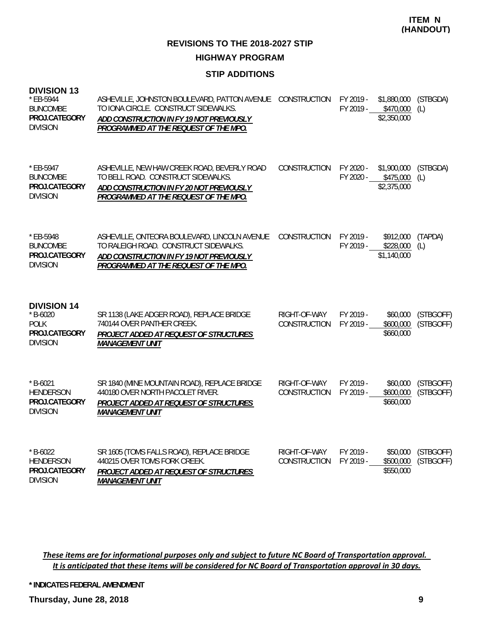**REVISIONS TO THE 2018-2027 STIP HIGHWAY PROGRAM**

#### **STIP ADDITIONS**

| <b>DIVISION 13</b><br>* EB-5944<br><b>BUNCOMBE</b><br>PROJ.CATEGORY<br><b>DIVISION</b> | ASHEVILLE, JOHNSTON BOULEVARD, PATTON AVENUE<br>TO IONA CIRCLE. CONSTRUCT SIDEWALKS.<br>ADD CONSTRUCTION IN FY 19 NOT PREVIOUSLY<br>PROGRAMMED AT THE REQUEST OF THE MPO.  | CONSTRUCTION                 | FY 2019 -<br>FY 2019 - | \$1,880,000<br>\$470,000<br>\$2,350,000 | (STBGDA)<br>(L)        |
|----------------------------------------------------------------------------------------|----------------------------------------------------------------------------------------------------------------------------------------------------------------------------|------------------------------|------------------------|-----------------------------------------|------------------------|
| $*$ EB-5947<br><b>BUNCOMBE</b><br>PROJ.CATEGORY<br><b>DIVISION</b>                     | ASHEVILLE, NEW HAW CREEK ROAD, BEVERLY ROAD<br>TO BELL ROAD. CONSTRUCT SIDEWALKS.<br>ADD CONSTRUCTION IN FY 20 NOT PREVIOUSLY<br>PROGRAMMED AT THE REQUEST OF THE MPO.     | <b>CONSTRUCTION</b>          | FY 2020 -<br>FY 2020 - | \$1,900,000<br>\$475,000<br>\$2,375,000 | (STBGDA)<br>(L)        |
| * EB-5948<br><b>BUNCOMBE</b><br>PROJ.CATEGORY<br><b>DIVISION</b>                       | ASHEVILLE, ONTEORA BOULEVARD, LINCOLN AVENUE<br>TO RALEIGH ROAD. CONSTRUCT SIDEWALKS.<br>ADD CONSTRUCTION IN FY 19 NOT PREVIOUSLY<br>PROGRAMMED AT THE REQUEST OF THE MPO. | CONSTRUCTION                 | FY 2019 -<br>FY 2019 - | \$912,000<br>\$228,000<br>\$1,140,000   | (TAPDA)<br>(L)         |
| <b>DIVISION 14</b><br>$* B - 6020$<br><b>POLK</b><br>PROJ.CATEGORY<br><b>DIVISION</b>  | SR 1138 (LAKE ADGER ROAD), REPLACE BRIDGE<br>740144 OVER PANTHER CREEK.<br>PROJECT ADDED AT REQUEST OF STRUCTURES<br><b>MANAGEMENT UNIT</b>                                | RIGHT-OF-WAY<br>CONSTRUCTION | FY 2019 -<br>FY 2019 - | \$60,000<br>\$600,000<br>\$660,000      | (STBGOFF)<br>(STBGOFF) |
| $*$ B-6021<br><b>HENDERSON</b><br>PROJ.CATEGORY<br><b>DIVISION</b>                     | SR 1840 (MINE MOUNTAIN ROAD), REPLACE BRIDGE<br>440180 OVER NORTH PACOLET RIVER.<br>PROJECT ADDED AT REQUEST OF STRUCTURES<br><b>MANAGEMENT UNIT</b>                       | RIGHT-OF-WAY<br>CONSTRUCTION | FY 2019 -<br>FY 2019 - | \$60,000<br>\$600,000<br>\$660,000      | (STBGOFF)<br>(STBGOFF) |
| $*$ B-6022<br><b>HENDERSON</b><br>PROJ.CATEGORY                                        | SR 1605 (TOMS FALLS ROAD), REPLACE BRIDGE<br>440215 OVER TOMS FORK CREEK.<br>PROJECT ADDED AT REQUEST OF STRUCTURES                                                        | RIGHT-OF-WAY<br>CONSTRUCTION | FY 2019 -<br>FY 2019 - | \$50,000<br>\$500,000<br>\$550,000      | (STBGOFF)<br>(STBGOFF) |

These items are for informational purposes only and subject to future NC Board of Transportation approval. It is anticipated that these items will be considered for NC Board of Transportation approval in 30 days.

**\* INDICATES FEDERAL AMENDMENT**

*MANAGEMENT UNIT*

DIVISION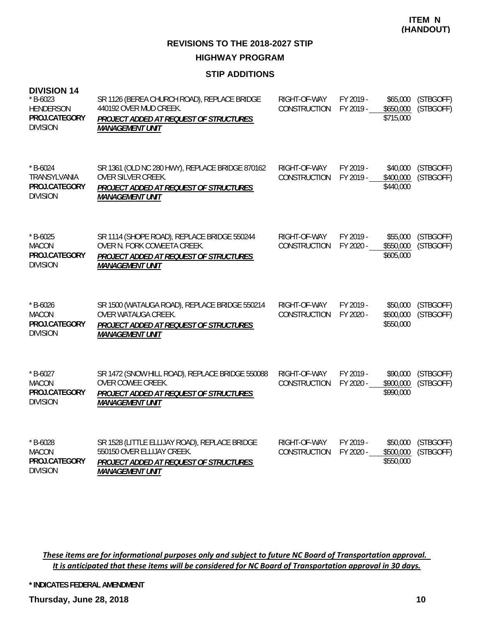#### **STIP ADDITIONS**

| <b>DIVISION 14</b><br>$* B - 6023$<br><b>HENDERSON</b><br>PROJ.CATEGORY<br><b>DIVISION</b> | SR 1126 (BEREA CHURCH ROAD), REPLACE BRIDGE<br>440192 OVER MUD CREEK.<br>PROJECT ADDED AT REQUEST OF STRUCTURES<br><b>MANAGEMENT UNIT</b>              | RIGHT-OF-WAY<br>CONSTRUCTION | FY 2019 -<br>FY 2019 - | \$65,000<br>\$650,000<br>\$715,000 | (STBGOFF)<br>(STBGOFF) |
|--------------------------------------------------------------------------------------------|--------------------------------------------------------------------------------------------------------------------------------------------------------|------------------------------|------------------------|------------------------------------|------------------------|
| $*$ B-6024<br>TRANSYLVANIA<br>PROJ.CATEGORY<br><b>DIVISION</b>                             | SR 1361 (OLD NC 280 HWY), REPLACE BRIDGE 870162<br>OVER SILVER CREEK.<br>PROJECT ADDED AT REQUEST OF STRUCTURES<br><b>MANAGEMENT UNIT</b>              | RIGHT-OF-WAY<br>CONSTRUCTION | FY 2019 -<br>FY 2019 - | \$40,000<br>\$400,000<br>\$440,000 | (STBGOFF)<br>(STBGOFF) |
| $*$ B-6025<br><b>MACON</b><br>PROJ.CATEGORY<br><b>DIVISION</b>                             | SR 1114 (SHOPE ROAD), REPLACE BRIDGE 550244<br>OVER N. FORK COWEETA CREEK.<br>PROJECT ADDED AT REQUEST OF STRUCTURES<br><b>MANAGEMENT UNIT</b>         | RIGHT-OF-WAY<br>CONSTRUCTION | FY 2019 -<br>FY 2020 - | \$55,000<br>\$550,000<br>\$605,000 | (STBGOFF)<br>(STBGOFF) |
| $*$ B-6026<br><b>MACON</b><br>PROJ.CATEGORY<br><b>DIVISION</b>                             | SR 1500 (WATAUGA ROAD), REPLACE BRIDGE 550214<br>OVER WATAUGA CREEK.<br>PROJECT ADDED AT REQUEST OF STRUCTURES<br><b>MANAGEMENT UNIT</b>               | RIGHT-OF-WAY<br>CONSTRUCTION | FY 2019 -<br>FY 2020 - | \$50,000<br>\$500,000<br>\$550,000 | (STBGOFF)<br>(STBGOFF) |
| $*$ B-6027<br><b>MACON</b><br>PROJ.CATEGORY<br><b>DIVISION</b>                             | SR 1472 (SNOW HILL ROAD), REPLACE BRIDGE 550088<br>OVER COWEE CREEK.<br>PROJECT ADDED AT REQUEST OF STRUCTURES<br><b>MANAGEMENT UNIT</b>               | RIGHT-OF-WAY<br>CONSTRUCTION | FY 2019 -<br>FY 2020 - | \$90,000<br>\$900,000<br>\$990,000 | (STBGOFF)<br>(STBGOFF) |
| $* B - 6028$<br><b>MACON</b><br>PROJ.CATEGORY<br><b>DIVISION</b>                           | SR 1528 (LITTLE ELLIJAY ROAD), REPLACE BRIDGE<br>550150 OVER ELLIJAY CREEK.<br><b>PROJECT ADDED AT REQUEST OF STRUCTURES</b><br><b>MANAGEMENT UNIT</b> | RIGHT-OF-WAY<br>CONSTRUCTION | FY 2019 -<br>FY 2020 - | \$50,000<br>\$500,000<br>\$550,000 | (STBGOFF)<br>(STBGOFF) |

These items are for informational purposes only and subject to future NC Board of Transportation approval. It is anticipated that these items will be considered for NC Board of Transportation approval in 30 days.

**\* INDICATES FEDERAL AMENDMENT**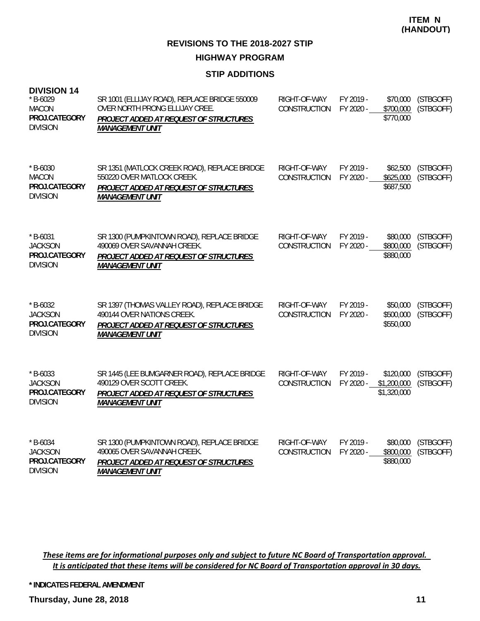**REVISIONS TO THE 2018-2027 STIP HIGHWAY PROGRAM**

#### **STIP ADDITIONS**

| <b>DIVISION 14</b><br>$*$ B-6029<br><b>MACON</b><br>PROJ.CATEGORY<br><b>DIVISION</b> | SR 1001 (ELLIJAY ROAD), REPLACE BRIDGE 550009<br>OVER NORTH PRONG ELLIJAY CREE.<br>PROJECT ADDED AT REQUEST OF STRUCTURES<br><b>MANAGEMENT UNIT</b> | RIGHT-OF-WAY<br>CONSTRUCTION | FY 2019 -<br>FY 2020 - | \$70,000<br>\$700,000<br>\$770,000      | (STBGOFF)<br>(STBGOFF) |
|--------------------------------------------------------------------------------------|-----------------------------------------------------------------------------------------------------------------------------------------------------|------------------------------|------------------------|-----------------------------------------|------------------------|
| $*$ B-6030<br><b>MACON</b><br>PROJ.CATEGORY<br><b>DIVISION</b>                       | SR 1351 (MATLOCK CREEK ROAD), REPLACE BRIDGE<br>550220 OVER MATLOCK CREEK.<br>PROJECT ADDED AT REQUEST OF STRUCTURES<br><b>MANAGEMENT UNIT</b>      | RIGHT-OF-WAY<br>CONSTRUCTION | FY 2019 -<br>FY 2020 - | \$62,500<br>\$625,000<br>\$687,500      | (STBGOFF)<br>(STBGOFF) |
| $*$ B-6031<br><b>JACKSON</b><br>PROJ.CATEGORY<br><b>DIVISION</b>                     | SR 1300 (PUMPKINTOWN ROAD), REPLACE BRIDGE<br>490069 OVER SAVANNAH CREEK.<br>PROJECT ADDED AT REQUEST OF STRUCTURES<br><b>MANAGEMENT UNIT</b>       | RIGHT-OF-WAY<br>CONSTRUCTION | FY 2019 -<br>FY 2020 - | \$80,000<br>\$800,000<br>\$880,000      | (STBGOFF)<br>(STBGOFF) |
| $* B - 6032$<br><b>JACKSON</b><br>PROJ.CATEGORY<br><b>DIVISION</b>                   | SR 1397 (THOMAS VALLEY ROAD), REPLACE BRIDGE<br>490144 OVER NATIONS CREEK.<br>PROJECT ADDED AT REQUEST OF STRUCTURES<br><b>MANAGEMENT UNIT</b>      | RIGHT-OF-WAY<br>CONSTRUCTION | FY 2019 -<br>FY 2020 - | \$50,000<br>\$500,000<br>\$550,000      | (STBGOFF)<br>(STBGOFF) |
| $*$ B-6033<br><b>JACKSON</b><br>PROJ.CATEGORY<br><b>DIVISION</b>                     | SR 1445 (LEE BUMGARNER ROAD), REPLACE BRIDGE<br>490129 OVER SCOTT CREEK.<br>PROJECT ADDED AT REQUEST OF STRUCTURES<br><b>MANAGEMENT UNIT</b>        | RIGHT-OF-WAY<br>CONSTRUCTION | FY 2019 -<br>FY 2020 - | \$120,000<br>\$1,200,000<br>\$1,320,000 | (STBGOFF)<br>(STBGOFF) |
| $*$ B-6034<br><b>JACKSON</b><br>PROJ.CATEGORY<br><b>DIVISION</b>                     | SR 1300 (PUMPKINTOWN ROAD), REPLACE BRIDGE<br>490065 OVER SAVANNAH CREEK.<br>PROJECT ADDED AT REQUEST OF STRUCTURES<br><b>MANAGEMENT UNIT</b>       | RIGHT-OF-WAY<br>CONSTRUCTION | FY 2019 -<br>FY 2020 - | \$80,000<br>\$800,000<br>\$880,000      | (STBGOFF)<br>(STBGOFF) |

These items are for informational purposes only and subject to future NC Board of Transportation approval. It is anticipated that these items will be considered for NC Board of Transportation approval in 30 days.

**\* INDICATES FEDERAL AMENDMENT**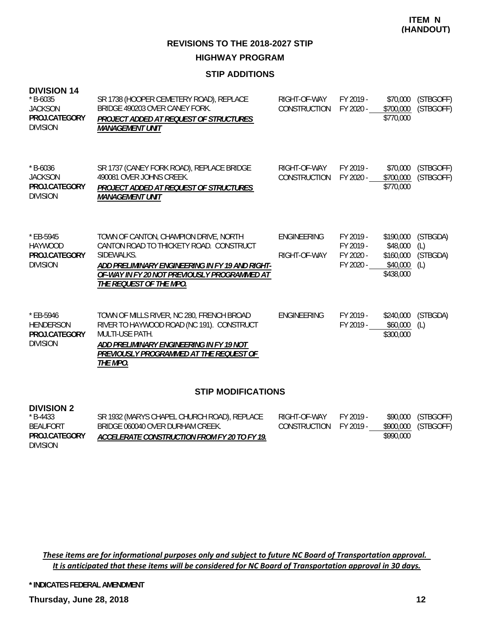**REVISIONS TO THE 2018-2027 STIP HIGHWAY PROGRAM**

#### **STIP ADDITIONS**

| <b>DIVISION 14</b><br>$*$ B-6035<br><b>JACKSON</b><br>PROJ.CATEGORY<br><b>DIVISION</b> | SR 1738 (HOOPER CEMETERY ROAD), REPLACE<br>BRIDGE 490203 OVER CANEY FORK.<br>PROJECT ADDED AT REQUEST OF STRUCTURES<br><i><b>MANAGEMENT UNIT</b></i>                                                                         | RIGHT-OF-WAY<br>CONSTRUCTION        | FY 2019 -<br>FY 2020 -                           | \$70,000<br>\$700,000<br>\$770,000                          | (STBGOFF)<br>(STBGOFF)             |
|----------------------------------------------------------------------------------------|------------------------------------------------------------------------------------------------------------------------------------------------------------------------------------------------------------------------------|-------------------------------------|--------------------------------------------------|-------------------------------------------------------------|------------------------------------|
| $* B - 6036$<br><b>JACKSON</b><br>PROJ.CATEGORY<br><b>DIVISION</b>                     | SR 1737 (CANEY FORK ROAD), REPLACE BRIDGE<br>490081 OVER JOHNS CREEK.<br>PROJECT ADDED AT REQUEST OF STRUCTURES<br><i><b>MANAGEMENT UNIT</b></i>                                                                             | RIGHT-OF-WAY<br><b>CONSTRUCTION</b> | FY 2019 -<br>FY 2020 -                           | \$70,000<br>\$700,000<br>\$770,000                          | (STBGOFF)<br>(STBGOFF)             |
| $*$ EB-5945<br><b>HAYWOOD</b><br>PROJ.CATEGORY<br><b>DIVISION</b>                      | TOWN OF CANTON, CHAMPION DRIVE, NORTH<br>CANTON ROAD TO THICKETY ROAD. CONSTRUCT<br>SIDEWALKS.<br>ADD PRELIMINARY ENGINEERING IN FY 19 AND RIGHT-<br>OF-WAY IN FY 20 NOT PREVIOUSLY PROGRAMMED AT<br>THE REQUEST OF THE MPO. | <b>ENGINEERING</b><br>RIGHT-OF-WAY  | FY 2019 -<br>FY 2019 -<br>FY 2020 -<br>FY 2020 - | \$190,000<br>\$48,000<br>\$160,000<br>\$40,000<br>\$438,000 | (STBGDA)<br>(L)<br>(STBGDA)<br>(L) |
| $*$ EB-5946<br><b>HENDERSON</b><br>PROJ.CATEGORY<br><b>DIVISION</b>                    | TOWN OF MILLS RIVER, NC 280, FRENCH BROAD<br>RIVER TO HAYWOOD ROAD (NC 191). CONSTRUCT<br><b>MULTI-USE PATH.</b><br>ADD PRELIMINARY ENGINEERING IN FY 19 NOT<br>PREVIOUSLY PROGRAMMED AT THE REQUEST OF<br>THE MPO.          | <b>ENGINEERING</b>                  | FY 2019 -<br>FY 2019 -                           | \$240,000<br>\$60,000<br>\$300,000                          | (STBGDA)<br>(L)                    |

#### **STIP MODIFICATIONS**

#### **DIVISION 2**

| $*$ B-4433      | SR 1932 (MARYS CHAPEL CHURCH ROAD), REPLACE  | RIGHT-OF-WAY           | FY 2019 - |           | \$90,000 (STBGOFF)  |
|-----------------|----------------------------------------------|------------------------|-----------|-----------|---------------------|
| BEAUFORT        | BRIDGE 060040 OVER DURHAM CREEK.             | CONSTRUCTION FY 2019 - |           |           | \$900,000 (STBGOFF) |
| PROJ.CATEGORY   | ACCELERATE CONSTRUCTION FROM FY 20 TO FY 19. |                        |           | \$990,000 |                     |
| <b>DIVISION</b> |                                              |                        |           |           |                     |

These items are for informational purposes only and subject to future NC Board of Transportation approval. It is anticipated that these items will be considered for NC Board of Transportation approval in 30 days.

**\* INDICATES FEDERAL AMENDMENT**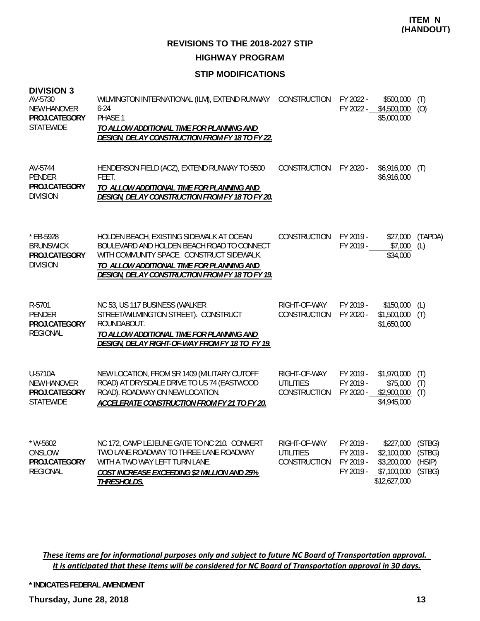#### **STIP MODIFICATIONS**

| <b>DIVISION 3</b><br>AV-5730<br><b>NEW HANOVER</b><br>PROJ.CATEGORY<br><b>STATEWIDE</b> | WILMINGTON INTERNATIONAL (ILM), EXTEND RUNWAY<br>$6 - 24$<br>PHASE 1<br>TO ALLOW ADDITIONAL TIME FOR PLANNING AND<br>DESIGN, DELAY CONSTRUCTION FROM FY 18 TO FY 22.                                                                       | CONSTRUCTION                                            | FY 2022 -<br>FY 2022 -                           | \$500,000<br>\$4,500,000<br>\$5,000,000                                | (T)<br>(O)                           |
|-----------------------------------------------------------------------------------------|--------------------------------------------------------------------------------------------------------------------------------------------------------------------------------------------------------------------------------------------|---------------------------------------------------------|--------------------------------------------------|------------------------------------------------------------------------|--------------------------------------|
| AV-5744<br><b>PENDER</b><br>PROJ.CATEGORY<br><b>DIVISION</b>                            | HENDERSON FIELD (ACZ), EXTEND RUNWAY TO 5500<br>FEET.<br>TO ALLOW ADDITIONAL TIME FOR PLANNING AND<br>DESIGN, DELAY CONSTRUCTION FROM FY 18 TO FY 20.                                                                                      | CONSTRUCTION                                            | FY 2020 -                                        | \$6,916,000<br>\$6,916,000                                             | (T)                                  |
| * EB-5928<br><b>BRUNSWICK</b><br>PROJ.CATEGORY<br><b>DIVISION</b>                       | HOLDEN BEACH, EXISTING SIDEWALK AT OCEAN<br>BOULEVARD AND HOLDEN BEACH ROAD TO CONNECT<br>WITH COMMUNITY SPACE. CONSTRUCT SIDEWALK.<br>TO ALLOW ADDITIONAL TIME FOR PLANNING AND<br><b>DESIGN, DELAY CONSTRUCTION FROM FY 18 TO FY 19.</b> | <b>CONSTRUCTION</b>                                     | FY 2019 -<br>FY 2019 -                           | \$27,000<br>\$7,000<br>\$34,000                                        | (TAPDA)<br>(L)                       |
| R-5701<br><b>PENDER</b><br>PROJ.CATEGORY<br><b>REGIONAL</b>                             | NC 53, US 117 BUSINESS (WALKER<br>STREET/WILMINGTON STREET). CONSTRUCT<br>ROUNDABOUT.<br>TO ALLOW ADDITIONAL TIME FOR PLANNING AND<br>DESIGN, DELAY RIGHT-OF-WAY FROM FY 18 TO FY 19.                                                      | RIGHT-OF-WAY<br>CONSTRUCTION                            | FY 2019 -<br>FY 2020 -                           | \$150,000<br>\$1,500,000<br>\$1,650,000                                | (L)<br>(T)                           |
| U-5710A<br><b>NEW HANOVER</b><br>PROJ.CATEGORY<br><b>STATEWIDE</b>                      | NEW LOCATION, FROM SR 1409 (MILITARY CUTOFF<br>ROAD) AT DRYSDALE DRIVE TO US 74 (EASTWOOD<br>ROAD). ROADWAY ON NEW LOCATION.<br>ACCELERATE CONSTRUCTION FROM FY 21 TO FY 20.                                                               | RIGHT-OF-WAY<br><b>UTILITIES</b><br><b>CONSTRUCTION</b> | FY 2019 -<br>FY 2019 -<br>FY 2020 -              | \$1,970,000<br>\$75,000<br>\$2,900,000<br>\$4,945,000                  | (T)<br>(T)<br>(T)                    |
| * W-5602<br>ONSLOW<br>PROJ.CATEGORY<br><b>REGIONAL</b>                                  | NC 172, CAMP LEJEUNE GATE TO NC 210. CONVERT<br>TWO LANE ROADWAY TO THREE LANE ROADWAY<br>WITH A TWO WAY LEFT TURN LANE.<br>COST INCREASE EXCEEDING \$2 MILLION AND 25%<br><b>THRESHOLDS.</b>                                              | RIGHT-OF-WAY<br><b>UTILITIES</b><br><b>CONSTRUCTION</b> | FY 2019 -<br>FY 2019 -<br>FY 2019 -<br>FY 2019 - | \$227,000<br>\$2,100,000<br>\$3,200,000<br>\$7,100,000<br>\$12,627,000 | (STBG)<br>(STBG)<br>(HSIP)<br>(STBG) |

These items are for informational purposes only and subject to future NC Board of Transportation approval. It is anticipated that these items will be considered for NC Board of Transportation approval in 30 days.

**\* INDICATES FEDERAL AMENDMENT**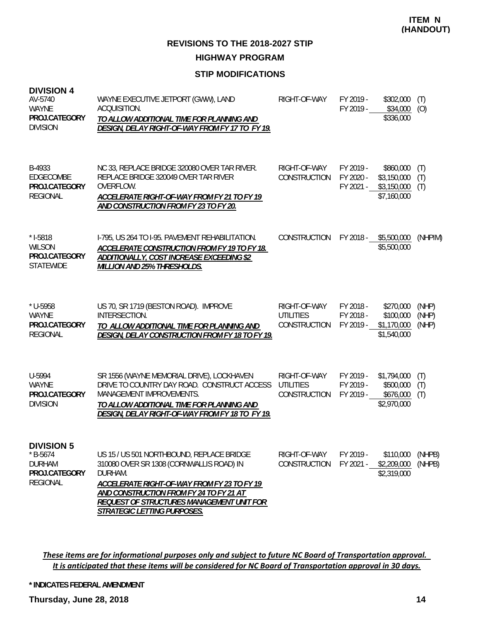**HIGHWAY PROGRAM**

### **STIP MODIFICATIONS**

| <b>DIVISION 4</b><br>AV-5740<br><b>WAYNE</b><br>PROJ.CATEGORY<br><b>DIVISION</b>     | WAYNE EXECUTIVE JETPORT (GWW), LAND<br>ACQUISITION.<br>TO ALLOW ADDITIONAL TIME FOR PLANNING AND<br>DESIGN, DELAY RIGHT-OF-WAY FROM FY 17 TO FY 19.                                                                                                                    | RIGHT-OF-WAY                                            | FY 2019 -<br>FY 2019 -              | \$302,000<br>\$34,000<br>\$336,000                     | (T)<br>(0)              |
|--------------------------------------------------------------------------------------|------------------------------------------------------------------------------------------------------------------------------------------------------------------------------------------------------------------------------------------------------------------------|---------------------------------------------------------|-------------------------------------|--------------------------------------------------------|-------------------------|
| B-4933<br>EDGECOMBE<br>PROJ.CATEGORY<br><b>REGIONAL</b>                              | NC 33, REPLACE BRIDGE 320080 OVER TAR RIVER.<br>REPLACE BRIDGE 320049 OVER TAR RIVER<br>OVERFLOW.<br>ACCELERATE RIGHT-OF-WAY FROM FY 21 TO FY 19<br>AND CONSTRUCTION FROM FY 23 TO FY 20.                                                                              | RIGHT-OF-WAY<br>CONSTRUCTION                            | FY 2019 -<br>FY 2020 -<br>FY 2021 - | \$860,000<br>\$3,150,000<br>\$3,150,000<br>\$7,160,000 | (T)<br>(T)<br>(T)       |
| $* I-5818$<br><b>WILSON</b><br>PROJ.CATEGORY<br><b>STATEWIDE</b>                     | I-795, US 264 TO I-95. PAVEMENT REHABILITATION.<br>ACCELERATE CONSTRUCTION FROM FY 19 TO FY 18.<br>ADDITIONALLY, COST INCREASE EXCEEDING \$2<br>MILLION AND 25% THRESHOLDS.                                                                                            | <b>CONSTRUCTION</b>                                     | FY 2018 -                           | \$5,500,000<br>\$5,500,000                             | (NHPIM)                 |
| $*$ U-5958<br>WAYNE<br>PROJ.CATEGORY<br><b>REGIONAL</b>                              | US 70, SR 1719 (BESTON ROAD). IMPROVE<br>INTERSECTION.<br>TO ALLOW ADDITIONAL TIME FOR PLANNING AND<br>DESIGN, DELAY CONSTRUCTION FROM FY 18 TO FY 19.                                                                                                                 | RIGHT-OF-WAY<br><b>UTILITIES</b><br><b>CONSTRUCTION</b> | FY 2018 -<br>FY 2018 -<br>FY 2019 - | \$270,000<br>\$100,000<br>\$1,170,000<br>\$1,540,000   | (NHP)<br>(NHP)<br>(NHP) |
| U-5994<br>WAYNE<br>PROJ.CATEGORY<br><b>DIVISION</b>                                  | SR 1556 (WAYNE MEMORIAL DRIVE), LOCKHAVEN<br>DRIVE TO COUNTRY DAY ROAD. CONSTRUCT ACCESS<br><b>MANAGEMENT IMPROVEMENTS.</b><br>TO ALLOW ADDITIONAL TIME FOR PLANNING AND<br>DESIGN, DELAY RIGHT-OF-WAY FROM FY 18 TO FY 19.                                            | RIGHT-OF-WAY<br><b>UTILITIES</b><br>CONSTRUCTION        | FY 2019 -<br>FY 2019 -<br>FY 2019 - | \$1,794,000<br>\$500,000<br>\$676,000<br>\$2,970,000   | (T)<br>(T)<br>(T)       |
| <b>DIVISION 5</b><br>$*$ B-5674<br><b>DURHAM</b><br>PROJ.CATEGORY<br><b>REGIONAL</b> | US 15 / US 501 NORTHBOUND, REPLACE BRIDGE<br>310080 OVER SR 1308 (CORNWALLIS ROAD) IN<br>DURHAM.<br>ACCELERATE RIGHT-OF-WAY FROM FY 23 TO FY 19<br>AND CONSTRUCTION FROM FY 24 TO FY 21 AT<br>REQUEST OF STRUCTURES MANAGEMENT UNIT FOR<br>STRATEGIC LETTING PURPOSES. | RIGHT-OF-WAY<br>CONSTRUCTION                            | FY 2019 -<br>FY 2021 -              | \$110,000<br>\$2,209,000<br>\$2,319,000                | (NHPB)<br>(NHPB)        |

These items are for informational purposes only and subject to future NC Board of Transportation approval. It is anticipated that these items will be considered for NC Board of Transportation approval in 30 days.

**\* INDICATES FEDERAL AMENDMENT**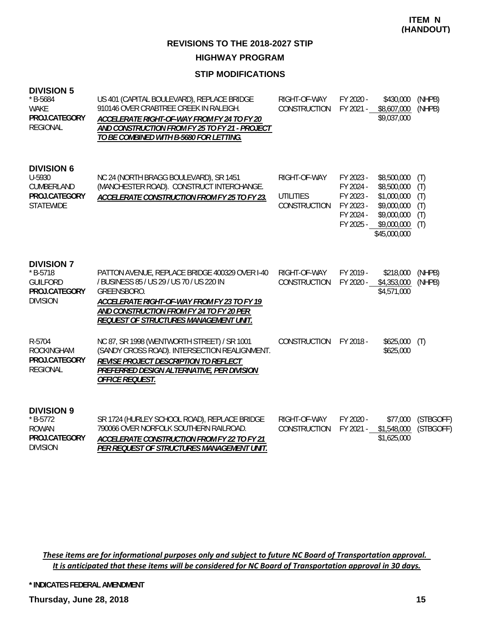#### **STIP MODIFICATIONS**

#### **DIVISION 5**

| $*$ B-5684<br><b>WAKE</b><br>PROJ.CATEGORY<br><b>REGIONAL</b>                          | US 401 (CAPITAL BOULEVARD), REPLACE BRIDGE<br>910146 OVER CRABTREE CREEK IN RALEIGH.<br>ACCELERATE RIGHT-OF-WAY FROM FY 24 TO FY 20<br>AND CONSTRUCTION FROM FY 25 TO FY 21 - PROJECT<br>TO BE COMBINED WITH B-5680 FOR LETTING.                | RIGHT-OF-WAY<br>CONSTRUCTION                     | FY 2020 -                                                                  | \$430,000<br>FY 2021 - \$8,607,000<br>\$9,037,000                                                      | (NHPB)<br>(NHPB)                       |
|----------------------------------------------------------------------------------------|-------------------------------------------------------------------------------------------------------------------------------------------------------------------------------------------------------------------------------------------------|--------------------------------------------------|----------------------------------------------------------------------------|--------------------------------------------------------------------------------------------------------|----------------------------------------|
| <b>DIVISION 6</b><br>U-5930<br>CUMBERLAND<br>PROJ.CATEGORY<br><b>STATEWIDE</b>         | NC 24 (NORTH BRAGG BOULEVARD), SR 1451<br>(MANCHESTER ROAD). CONSTRUCT INTERCHANGE.<br>ACCELERATE CONSTRUCTION FROM FY 25 TO FY 23.                                                                                                             | RIGHT-OF-WAY<br><b>UTILITIES</b><br>CONSTRUCTION | FY 2023 -<br>FY 2024 -<br>FY 2023 -<br>FY 2023 -<br>FY 2024 -<br>FY 2025 - | \$8,500,000<br>\$8,500,000<br>\$1,000,000<br>\$9,000,000<br>\$9,000,000<br>\$9,000,000<br>\$45,000,000 | (T)<br>(T)<br>(T)<br>(T)<br>(T)<br>(T) |
| <b>DIVISION 7</b><br>$* B-5718$<br><b>GUILFORD</b><br>PROJ.CATEGORY<br><b>DIVISION</b> | PATTON AVENUE, REPLACE BRIDGE 400329 OVER I-40<br>/ BUSINESS 85 / US 29 / US 70 / US 220 IN<br>GREENSBORO.<br>ACCELERATE RIGHT-OF-WAY FROM FY 23 TO FY 19<br>AND CONSTRUCTION FROM FY 24 TO FY 20 PER<br>REQUEST OF STRUCTURES MANAGEMENT UNIT. | RIGHT-OF-WAY<br>CONSTRUCTION                     | FY 2019 -<br>FY 2020 -                                                     | \$218,000<br>\$4,353,000<br>\$4,571,000                                                                | (NHPB)<br>(NHPB)                       |
| R-5704<br><b>ROCKINGHAM</b><br>PROJ.CATEGORY<br><b>REGIONAL</b>                        | NC 87, SR 1998 (WENTWORTH STREET) / SR 1001<br>(SANDY CROSS ROAD). INTERSECTION REALIGNMENT.<br>REVISE PROJECT DESCRIPTION TO REFLECT<br>PREFERRED DESIGN ALTERNATIVE, PER DIVISION<br><b>OFFICE REQUEST.</b>                                   | <b>CONSTRUCTION</b>                              | FY 2018 -                                                                  | \$625,000<br>\$625,000                                                                                 | (T)                                    |
| <b>DIVISION 9</b><br>$* B-5772$<br><b>ROWAN</b><br>PROJ.CATEGORY<br><b>DIVISION</b>    | SR 1724 (HURLEY SCHOOL ROAD), REPLACE BRIDGE<br>790066 OVER NORFOLK SOUTHERN RAILROAD.<br>ACCELERATE CONSTRUCTION FROM FY 22 TO FY 21<br>PER REQUEST OF STRUCTURES MANAGEMENT UNIT.                                                             | RIGHT-OF-WAY<br>CONSTRUCTION                     | FY 2020 -                                                                  | \$77,000<br>FY 2021 - \$1,548,000<br>\$1,625,000                                                       | (STBGOFF)<br>(STBGOFF)                 |

These items are for informational purposes only and subject to future NC Board of Transportation approval. It is anticipated that these items will be considered for NC Board of Transportation approval in 30 days.

**\* INDICATES FEDERAL AMENDMENT**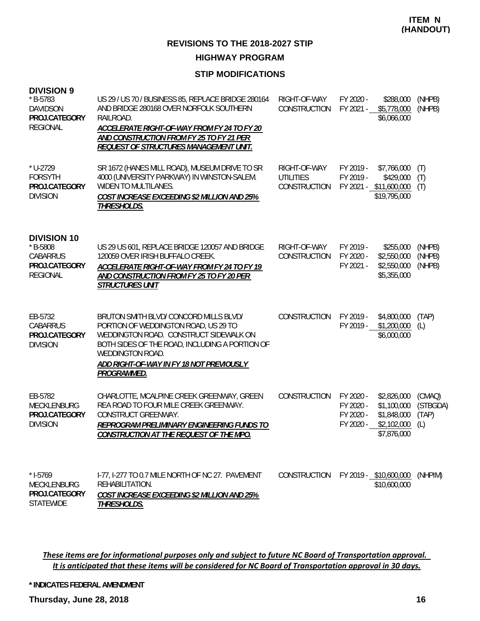**HIGHWAY PROGRAM**

#### **STIP MODIFICATIONS**

| <b>DIVISION 9</b><br>$*$ B-5783<br><b>DAVIDSON</b><br>PROJ.CATEGORY<br><b>REGIONAL</b> | US 29 / US 70 / BUSINESS 85, REPLACE BRIDGE 280164<br>AND BRIDGE 280168 OVER NORFOLK SOUTHERN<br>RAILROAD.<br>ACCELERATE RIGHT-OF-WAY FROM FY 24 TO FY 20<br>AND CONSTRUCTION FROM FY 25 TO FY 21 PER<br><b>REQUEST OF STRUCTURES MANAGEMENT UNIT.</b>           | RIGHT-OF-WAY<br>CONSTRUCTION                     | FY 2020 -<br>FY 2021 -                           | \$288,000<br>\$5,778,000<br>\$6,066,000                                 | (NHPB)<br>(NHPB)                   |
|----------------------------------------------------------------------------------------|------------------------------------------------------------------------------------------------------------------------------------------------------------------------------------------------------------------------------------------------------------------|--------------------------------------------------|--------------------------------------------------|-------------------------------------------------------------------------|------------------------------------|
| $*$ U-2729<br><b>FORSYTH</b><br>PROJ.CATEGORY<br><b>DIVISION</b>                       | SR 1672 (HANES MILL ROAD), MUSEUM DRIVE TO SR<br>4000 (UNIVERSITY PARKWAY) IN WINSTON-SALEM.<br>WIDEN TO MULTILANES.<br>COST INCREASE EXCEEDING \$2 MILLION AND 25%<br>THRESHOLDS.                                                                               | RIGHT-OF-WAY<br><b>UTILITIES</b><br>CONSTRUCTION | FY 2019 -<br>FY 2019 -                           | \$7,766,000<br>\$429,000<br>FY 2021 - \$11,600,000<br>\$19,795,000      | (T)<br>(T)<br>(T)                  |
| <b>DIVISION 10</b><br>* B-5808<br><b>CABARRUS</b><br>PROJ.CATEGORY<br><b>REGIONAL</b>  | US 29 US 601, REPLACE BRIDGE 120057 AND BRIDGE<br>120059 OVER IRISH BUFFALO CREEK.<br>ACCELERATE RIGHT-OF-WAY FROM FY 24 TO FY 19<br>AND CONSTRUCTION FROM FY 25 TO FY 20 PER<br><b>STRUCTURES UNIT</b>                                                          | RIGHT-OF-WAY<br>CONSTRUCTION                     | FY 2019 -<br>FY 2020 -<br>FY 2021 -              | \$255,000<br>\$2,550,000<br>\$2,550,000<br>\$5,355,000                  | (NHPB)<br>(NHPB)<br>(NHPB)         |
| EB-5732<br><b>CABARRUS</b><br>PROJ.CATEGORY<br><b>DIVISION</b>                         | BRUTON SMITH BLVD/ CONCORD MILLS BLVD/<br>PORTION OF WEDDINGTON ROAD, US 29 TO<br>WEDDINGTON ROAD. CONSTRUCT SIDEWALK ON<br>BOTH SIDES OF THE ROAD, INCLUDING A PORTION OF<br>WEDDINGTON ROAD.<br><u>ADD RIGHT-OF-WAY IN FY 18 NOT PREVIOUSLY</u><br>PROGRAMMED. | CONSTRUCTION                                     | FY 2019 -<br>FY 2019 -                           | \$4,800,000<br>\$1,200,000<br>\$6,000,000                               | (TAP)<br>(L)                       |
| EB-5782<br>MECKLENBURG<br>PROJ.CATEGORY<br><b>DIVISION</b>                             | CHARLOTTE, MCALPINE CREEK GREENWAY, GREEN<br>REA ROAD TO FOUR MILE CREEK GREENWAY.<br>CONSTRUCT GREENWAY.<br>REPROGRAM PRELIMINARY ENGINEERING FUNDS TO<br>CONSTRUCTION AT THE REQUEST OF THE MPO.                                                               | CONSTRUCTION                                     | FY 2020 -<br>FY 2020 -<br>FY 2020 -<br>FY 2020 - | \$2,826,000<br>\$1,100,000<br>\$1,848,000<br>\$2,102,000<br>\$7,876,000 | (CMAQ)<br>(STBGDA)<br>(TAP)<br>(L) |
| $* I-5769$<br>MECKLENBURG<br>PROJ.CATEGORY<br><b>STATEWIDE</b>                         | I-77, I-277 TO 0.7 MILE NORTH OF NC 27. PAVEMENT<br>REHABILITATION.<br>COST INCREASE EXCEEDING \$2 MILLION AND 25%<br>THRESHOLDS.                                                                                                                                | CONSTRUCTION                                     |                                                  | FY 2019 - \$10,600,000<br>\$10,600,000                                  | (NHPIM)                            |

These items are for informational purposes only and subject to future NC Board of Transportation approval. It is anticipated that these items will be considered for NC Board of Transportation approval in 30 days.

**\* INDICATES FEDERAL AMENDMENT**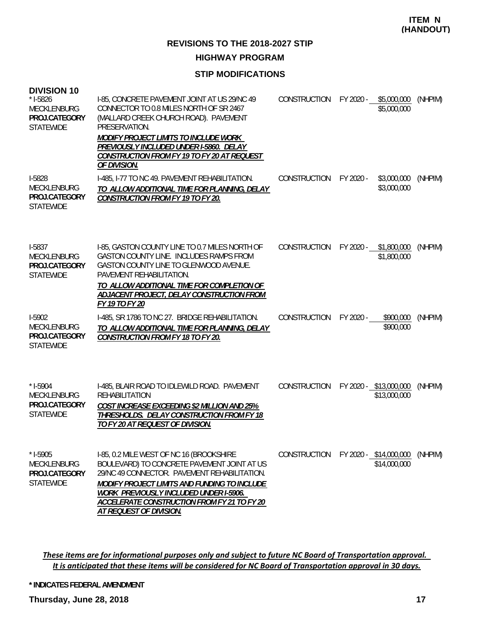#### **HIGHWAY PROGRAM**

#### **STIP MODIFICATIONS**

| <b>DIVISION 10</b><br>$* I-5826$<br><b>MECKLENBURG</b><br>PROJ.CATEGORY<br><b>STATEWIDE</b> | I-85, CONCRETE PAVEMENT JOINT AT US 29/NC 49<br>CONNECTOR TO 0.8 MILES NORTH OF SR 2467<br>(MALLARD CREEK CHURCH ROAD). PAVEMENT<br>PRESERVATION.<br><b>MODIFY PROJECT LIMITS TO INCLUDE WORK</b><br>PREVIOUSLY INCLUDED UNDER I-5860. DELAY<br>CONSTRUCTION FROM FY 19 TO FY 20 AT REQUEST<br>OF DIVISION.        | CONSTRUCTION        | FY 2020 - | \$5,000,000<br>\$5,000,000             | (NHPIM) |
|---------------------------------------------------------------------------------------------|--------------------------------------------------------------------------------------------------------------------------------------------------------------------------------------------------------------------------------------------------------------------------------------------------------------------|---------------------|-----------|----------------------------------------|---------|
| I-5828<br>MECKLENBURG<br>PROJ.CATEGORY<br><b>STATEWIDE</b>                                  | I-485, I-77 TO NC 49. PAVEMENT REHABILITATION.<br>TO ALLOW ADDITIONAL TIME FOR PLANNING, DELAY<br><b>CONSTRUCTION FROM FY 19 TO FY 20.</b>                                                                                                                                                                         | CONSTRUCTION        | FY 2020 - | \$3,000,000<br>\$3,000,000             | (NHPIM) |
| I-5837<br><b>MECKLENBURG</b><br>PROJ.CATEGORY<br><b>STATEWIDE</b>                           | I-85, GASTON COUNTY LINE TO 0.7 MILES NORTH OF<br>GASTON COUNTY LINE. INCLUDES RAMPS FROM<br>GASTON COUNTY LINE TO GLENWOOD AVENUE.<br>PAVEMENT REHABILITATION.<br>TO ALLOW ADDITIONAL TIME FOR COMPLETION OF<br>ADJACENT PROJECT, DELAY CONSTRUCTION FROM<br>FY 19 TO FY 20                                       | <b>CONSTRUCTION</b> | FY 2020 - | \$1,800,000<br>\$1,800,000             | (NHPIM) |
| I-5902<br><b>MECKLENBURG</b><br>PROJ.CATEGORY<br><b>STATEWIDE</b>                           | I-485, SR 1786 TO NC 27. BRIDGE REHABILITATION.<br>TO ALLOW ADDITIONAL TIME FOR PLANNING, DELAY<br><b>CONSTRUCTION FROM FY 18 TO FY 20.</b>                                                                                                                                                                        | CONSTRUCTION        | FY 2020 - | \$900,000<br>\$900,000                 | (NHPIM) |
| $* I-5904$<br>MECKLENBURG<br>PROJ.CATEGORY<br><b>STATEWIDE</b>                              | I-485, BLAIR ROAD TO IDLEWILD ROAD. PAVEMENT<br><b>REHABILITATION</b><br>COST INCREASE EXCEEDING \$2 MILLION AND 25%<br>THRESHOLDS. DELAY CONSTRUCTION FROM FY 18<br>TO FY 20 AT REQUEST OF DIVISION.                                                                                                              | CONSTRUCTION        |           | FY 2020 - \$13,000,000<br>\$13,000,000 | (NHPIM) |
| $*$ 1-5905<br>MECKLENBURG<br>PROJ.CATEGORY<br><b>STATEWIDE</b>                              | I-85, 0.2 MILE WEST OF NC 16 (BROOKSHIRE<br>BOULEVARD) TO CONCRETE PAVEMENT JOINT AT US<br>29/NC 49 CONNECTOR. PAVEMENT REHABILITATION.<br>MODIFY PROJECT LIMITS AND FUNDING TO INCLUDE<br><b>WORK PREVIOUSLY INCLUDED UNDER I-5906.</b><br>ACCELERATE CONSTRUCTION FROM FY 21 TO FY 20<br>AT REQUEST OF DIVISION. | CONSTRUCTION        |           | FY 2020 - \$14,000,000<br>\$14,000,000 | (NHPIM) |

These items are for informational purposes only and subject to future NC Board of Transportation approval. It is anticipated that these items will be considered for NC Board of Transportation approval in 30 days.

**\* INDICATES FEDERAL AMENDMENT**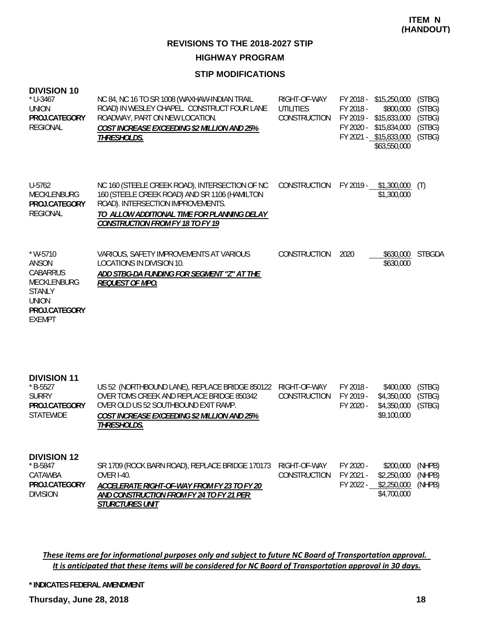#### **HIGHWAY PROGRAM**

#### **STIP MODIFICATIONS**

| <b>DIVISION 10</b><br>$*$ U-3467<br><b>UNION</b><br>PROJ.CATEGORY<br><b>REGIONAL</b>                                            | NC 84, NC 16 TO SR 1008 (WAXHAW-INDIAN TRAIL<br>ROAD) IN WESLEY CHAPEL. CONSTRUCT FOUR LANE<br>ROADWAY, PART ON NEW LOCATION.<br>COST INCREASE EXCEEDING \$2 MILLION AND 25%<br>THRESHOLDS.                                    | RIGHT-OF-WAY<br><b>UTILITIES</b><br>CONSTRUCTION | FY 2018 -<br>FY 2018 -<br>FY 2020 - | \$15,250,000<br>\$800,000<br>FY 2019 - \$15,833,000<br>\$15,834,000<br>FY 2021 - \$15,833,000<br>\$63,550,000 | (STBG)<br>(STBG)<br>(STBG)<br>(STBG)<br>(STBG) |
|---------------------------------------------------------------------------------------------------------------------------------|--------------------------------------------------------------------------------------------------------------------------------------------------------------------------------------------------------------------------------|--------------------------------------------------|-------------------------------------|---------------------------------------------------------------------------------------------------------------|------------------------------------------------|
| U-5762<br><b>MECKLENBURG</b><br>PROJ.CATEGORY<br><b>REGIONAL</b>                                                                | NC 160 (STEELE CREEK ROAD), INTERSECTION OF NC<br>160 (STEELE CREEK ROAD) AND SR 1106 (HAMILTON<br>ROAD). INTERSECTION IMPROVEMENTS.<br>TO ALLOW ADDITIONAL TIME FOR PLANNING DELAY<br><b>CONSTRUCTION FROM FY 18 TO FY 19</b> | <b>CONSTRUCTION</b>                              | FY 2019 -                           | \$1,300,000<br>\$1,300,000                                                                                    | (T)                                            |
| $*$ W-5710<br>ANSON<br><b>CABARRUS</b><br><b>MECKLENBURG</b><br><b>STANLY</b><br><b>UNION</b><br>PROJ.CATEGORY<br><b>EXEMPT</b> | VARIOUS, SAFETY IMPROVEMENTS AT VARIOUS<br><b>LOCATIONS IN DIVISION 10.</b><br>ADD STBG-DA FUNDING FOR SEGMENT "Z" AT THE<br><b>REQUEST OF MPO.</b>                                                                            | <b>CONSTRUCTION</b>                              | 2020                                | \$630,000<br>\$630,000                                                                                        | <b>STBGDA</b>                                  |
| <b>DIVISION 11</b><br>$* B-5527$<br><b>SURRY</b><br>PROJ.CATEGORY<br><b>STATEWIDE</b>                                           | US 52 (NORTHBOUND LANE), REPLACE BRIDGE 850122<br>OVER TOMS CREEK AND REPLACE BRIDGE 850342<br>OVER OLD US 52 SOUTHBOUND EXIT RAMP.<br>COST INCREASE EXCEEDING \$2 MILLION AND 25%<br>THRESHOLDS.                              | RIGHT-OF-WAY<br><b>CONSTRUCTION</b>              | FY 2018 -<br>FY 2019 -<br>FY 2020 - | \$400,000<br>\$4,350,000<br>\$4,350,000<br>\$9,100,000                                                        | (STBG)<br>(STBG)<br>(STBG)                     |
| <b>DIVISION 12</b><br>$*$ B-5847<br>CATAWBA<br>PROJ.CATEGORY<br><b>DIVISION</b>                                                 | SR 1709 (ROCK BARN ROAD), REPLACE BRIDGE 170173<br><b>OVER I-40.</b><br>ACCELERATE RIGHT-OF-WAY FROM FY 23 TO FY 20<br>AND CONSTRUCTION FROM FY 24 TO FY 21 PER                                                                | RIGHT-OF-WAY<br><b>CONSTRUCTION</b>              | FY 2020 -<br>FY 2021 -<br>FY 2022 - | \$200,000<br>\$2,250,000<br>\$2,250,000<br>\$4,700,000                                                        | (NHPB)<br>(NHPB)<br>(NHPB)                     |

These items are for informational purposes only and subject to future NC Board of Transportation approval. It is anticipated that these items will be considered for NC Board of Transportation approval in 30 days.

**\* INDICATES FEDERAL AMENDMENT**

*STURCTURES UNIT*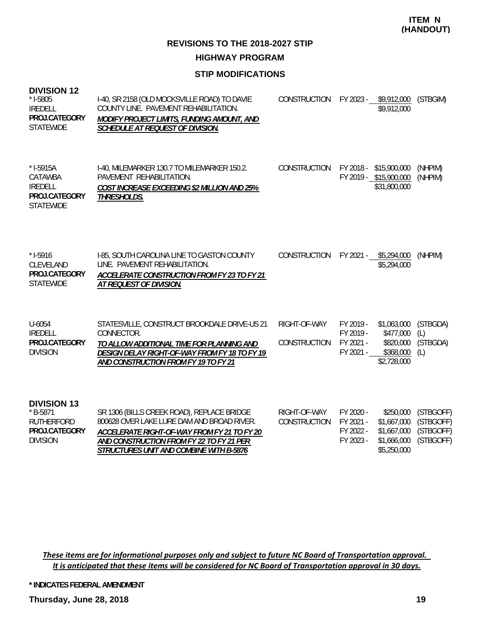**REVISIONS TO THE 2018-2027 STIP HIGHWAY PROGRAM**

#### **STIP MODIFICATIONS**

| צו צוטוכועוט<br>$*$ 1-5805<br><b>IREDELL</b><br>PROJ.CATEGORY<br><b>STATEWIDE</b>         | I-40, SR 2158 (OLD MOCKSVILLE ROAD) TO DAVIE<br>COUNTY LINE. PAVEMENT REHABILITATION.<br>MODIFY PROJECT LIMITS, FUNDING AMOUNT, AND<br>SCHEDULE AT REQUEST OF DIVISION.                                                        | CONSTRUCTION FY 2023 - \$9,912,000 (STBGIM) |                                                  | \$9,912,000                                                           |                                                  |
|-------------------------------------------------------------------------------------------|--------------------------------------------------------------------------------------------------------------------------------------------------------------------------------------------------------------------------------|---------------------------------------------|--------------------------------------------------|-----------------------------------------------------------------------|--------------------------------------------------|
| $*$ I-5915A<br>CATAWBA<br><b>IREDELL</b><br>PROJ.CATEGORY<br><b>STATEWIDE</b>             | 1-40, MILEMARKER 130.7 TO MILEMARKER 150.2.<br>PAVEMENT REHABILITATION.<br>COST INCREASE EXCEEDING \$2 MILLION AND 25%<br>THRESHOLDS.                                                                                          | CONSTRUCTION                                |                                                  | FY 2018 - \$15,900,000<br>FY 2019 - \$15,900,000<br>\$31,800,000      | (NHPIM)<br>(NHPIM)                               |
| $*$ 1-5916<br>CLEVELAND<br>PROJ.CATEGORY<br><b>STATEWIDE</b>                              | I-85, SOUTH CAROLINA LINE TO GASTON COUNTY<br>LINE. PAVEMENT REHABILITATION.<br><b>ACCELERATE CONSTRUCTION FROM FY 23 TO FY 21</b><br>AT REQUEST OF DIVISION.                                                                  | CONSTRUCTION FY 2021 - \$5,294,000          |                                                  | \$5,294,000                                                           | (NHPIM)                                          |
| U-6054<br><b>IREDELL</b><br>PROJ.CATEGORY<br><b>DIVISION</b>                              | STATESVILLE, CONSTRUCT BROOKDALE DRIVE-US 21<br>CONNECTOR.<br>TO ALLOW ADDITIONAL TIME FOR PLANNING AND<br>DESIGN DELAY RIGHT-OF-WAY FROM FY 18 TO FY 19<br>AND CONSTRUCTION FROM FY 19 TO FY 21                               | RIGHT-OF-WAY<br>CONSTRUCTION                | FY 2019 -<br>FY 2019 -<br>FY 2021 -<br>FY 2021 - | \$1,063,000<br>\$477,000<br>\$820,000<br>\$368,000<br>\$2,728,000     | (STBGDA)<br>(L)<br>(STBGDA)<br>(L)               |
| <b>DIVISION 13</b><br>$*$ B-5871<br><b>RUTHERFORD</b><br>PROJ.CATEGORY<br><b>DIVISION</b> | SR 1306 (BILLS CREEK ROAD), REPLACE BRIDGE<br>800628 OVER LAKE LURE DAM AND BROAD RIVER.<br>ACCELERATE RIGHT-OF-WAY FROM FY 21 TO FY 20<br>AND CONSTRUCTION FROM FY 22 TO FY 21 PER<br>STRUCTURES UNIT AND COMBINE WITH B-5876 | RIGHT-OF-WAY<br>CONSTRUCTION                | FY 2020 -<br>FY 2021 -<br>FY 2022 -<br>FY 2023 - | \$250,000<br>\$1,667,000<br>\$1,667,000<br>\$1,666,000<br>\$5,250,000 | (STBGOFF)<br>(STBGOFF)<br>(STBGOFF)<br>(STBGOFF) |

These items are for informational purposes only and subject to future NC Board of Transportation approval. It is anticipated that these items will be considered for NC Board of Transportation approval in 30 days.

**\* INDICATES FEDERAL AMENDMENT**

**Thursday, June 28, 2018 19**

**DIVISION 12**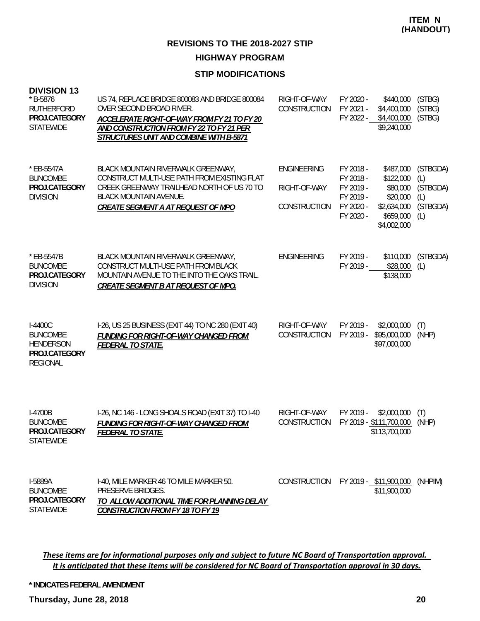#### **STIP MODIFICATIONS**

| <b>DIVISION 13</b><br>$*$ B-5876<br><b>RUTHERFORD</b><br>PROJ.CATEGORY<br><b>STATEWIDE</b> | US 74, REPLACE BRIDGE 800083 AND BRIDGE 800084<br>OVER SECOND BROAD RIVER.<br>ACCELERATE RIGHT-OF-WAY FROM FY 21 TO FY 20<br>AND CONSTRUCTION FROM FY 22 TO FY 21 PER<br>STRUCTURES UNIT AND COMBINE WITH B-5871 | RIGHT-OF-WAY<br>CONSTRUCTION                       | FY 2020 -<br>\$440,000<br>FY 2021 -<br>\$4,400,000<br>FY 2022 -<br>\$4,400,000<br>\$9,240,000                                                                           | (STBG)<br>(STBG)<br>(STBG)                            |
|--------------------------------------------------------------------------------------------|------------------------------------------------------------------------------------------------------------------------------------------------------------------------------------------------------------------|----------------------------------------------------|-------------------------------------------------------------------------------------------------------------------------------------------------------------------------|-------------------------------------------------------|
| * EB-5547A<br><b>BUNCOMBE</b><br>PROJ.CATEGORY<br><b>DIVISION</b>                          | BLACK MOUNTAIN RIVERWALK GREENWAY,<br>CONSTRUCT MULTI-USE PATH FROM EXISTING FLAT<br>CREEK GREENWAY TRAILHEAD NORTH OF US 70 TO<br><b>BLACK MOUNTAIN AVENUE.</b><br>CREATE SEGMENT A AT REQUEST OF MPO           | <b>ENGINEERING</b><br>RIGHT-OF-WAY<br>CONSTRUCTION | FY 2018 -<br>\$487,000<br>\$122,000<br>FY 2018 -<br>FY 2019 -<br>\$80,000<br>FY 2019 -<br>\$20,000<br>FY 2020 -<br>\$2,634,000<br>FY 2020 -<br>\$659,000<br>\$4,002,000 | (STBGDA)<br>(L)<br>(STBGDA)<br>(L)<br>(STBGDA)<br>(L) |
| * EB-5547B<br><b>BUNCOMBE</b><br>PROJ.CATEGORY<br><b>DIVISION</b>                          | BLACK MOUNTAIN RIVERWALK GREENWAY,<br>CONSTRUCT MULTI-USE PATH FROM BLACK<br>MOUNTAIN AVENUE TO THE INTO THE OAKS TRAIL.<br>CREATE SEGMENT B AT REQUEST OF MPO.                                                  | <b>ENGINEERING</b>                                 | FY 2019 -<br>\$110,000<br>FY 2019 -<br>\$28,000<br>\$138,000                                                                                                            | (STBGDA)<br>(L)                                       |
| I-4400C<br><b>BUNCOMBE</b><br><b>HENDERSON</b><br>PROJ.CATEGORY<br><b>REGIONAL</b>         | I-26, US 25 BUSINESS (EXIT 44) TO NC 280 (EXIT 40)<br><b>FUNDING FOR RIGHT-OF-WAY CHANGED FROM</b><br><b>FEDERAL TO STATE.</b>                                                                                   | RIGHT-OF-WAY<br>CONSTRUCTION                       | FY 2019 -<br>\$2,000,000<br>FY 2019 -<br>\$95,000,000<br>\$97,000,000                                                                                                   | (T)<br>(NHP)                                          |
| I-4700B<br><b>BUNCOMBE</b><br>PROJ.CATEGORY<br><b>STATEWIDE</b>                            | I-26, NC 146 - LONG SHOALS ROAD (EXIT 37) TO I-40<br><b>FUNDING FOR RIGHT-OF-WAY CHANGED FROM</b><br>FEDERAL TO STATE.                                                                                           | RIGHT-OF-WAY<br>CONSTRUCTION                       | FY 2019 -<br>\$2,000,000<br>FY 2019 - \$111,700,000<br>\$113,700,000                                                                                                    | (T)<br>(NHP)                                          |
| I-5889A<br><b>BUNCOMBE</b><br>PROJ.CATEGORY<br><b>STATEWIDE</b>                            | 1-40, MILE MARKER 46 TO MILE MARKER 50.<br>PRESERVE BRIDGES.<br>TO ALLOW ADDITIONAL TIME FOR PLANNING DELAY<br><b>CONSTRUCTION FROM FY 18 TO FY 19</b>                                                           | <b>CONSTRUCTION</b>                                | FY 2019 - \$11,900,000<br>\$11,900,000                                                                                                                                  | (NHPIM)                                               |

These items are for informational purposes only and subject to future NC Board of Transportation approval. It is anticipated that these items will be considered for NC Board of Transportation approval in 30 days.

**\* INDICATES FEDERAL AMENDMENT**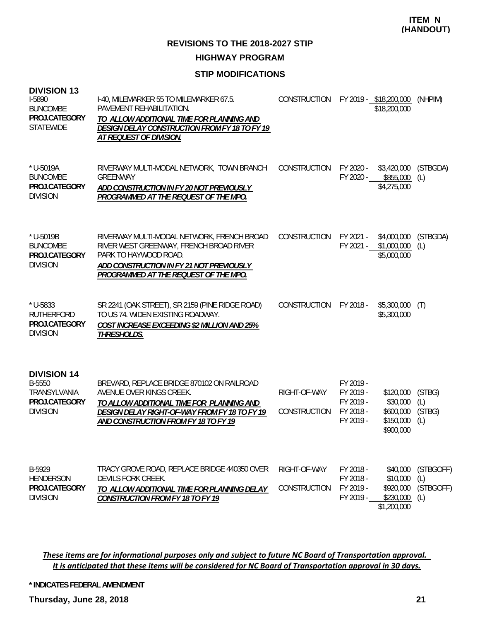**REVISIONS TO THE 2018-2027 STIP**

**HIGHWAY PROGRAM**

### **STIP MODIFICATIONS**

| <b>DIVISION 13</b><br>I-5890<br><b>BUNCOMBE</b><br>PROJ.CATEGORY<br><b>STATEWIDE</b> | I-40, MILEMARKER 55 TO MILEMARKER 67.5.<br>PAVEMENT REHABILITATION.<br>TO ALLOW ADDITIONAL TIME FOR PLANNING AND<br><b>DESIGN DELAY CONSTRUCTION FROM FY 18 TO FY 19</b><br>AT REQUEST OF DIVISION.                 | <b>CONSTRUCTION</b>                 | FY 2019 - \$18,200,000<br>\$18,200,000                                                                                        | (NHPIM)                              |
|--------------------------------------------------------------------------------------|---------------------------------------------------------------------------------------------------------------------------------------------------------------------------------------------------------------------|-------------------------------------|-------------------------------------------------------------------------------------------------------------------------------|--------------------------------------|
| * U-5019A<br><b>BUNCOMBE</b><br>PROJ.CATEGORY<br><b>DIVISION</b>                     | RIVERWAY MULTI-MODAL NETWORK, TOWN BRANCH<br><b>GREENWAY</b><br>ADD CONSTRUCTION IN FY 20 NOT PREVIOUSLY<br>PROGRAMMED AT THE REQUEST OF THE MPO.                                                                   | CONSTRUCTION                        | FY 2020 -<br>\$3,420,000<br>FY 2020 -<br>\$855,000<br>\$4,275,000                                                             | (STBGDA)<br>(L)                      |
| * U-5019B<br><b>BUNCOMBE</b><br>PROJ.CATEGORY<br><b>DIVISION</b>                     | RIVERWAY MULTI-MODAL NETWORK, FRENCH BROAD<br>RIVER WEST GREENWAY, FRENCH BROAD RIVER<br>PARK TO HAYWOOD ROAD.<br>ADD CONSTRUCTION IN FY 21 NOT PREVIOUSLY<br>PROGRAMMED AT THE REQUEST OF THE MPO.                 | CONSTRUCTION                        | FY 2021 -<br>\$4,000,000<br>FY 2021 -<br>\$1,000,000<br>\$5,000,000                                                           | (STBGDA)<br>(L)                      |
| * U-5833<br><b>RUTHERFORD</b><br>PROJ.CATEGORY<br><b>DIVISION</b>                    | SR 2241 (OAK STREET), SR 2159 (PINE RIDGE ROAD)<br>TO US 74. WIDEN EXISTING ROADWAY.<br><b>COST INCREASE EXCEEDING \$2 MILLION AND 25%</b><br>THRESHOLDS.                                                           | CONSTRUCTION                        | FY 2018 -<br>\$5,300,000<br>\$5,300,000                                                                                       | (T)                                  |
| <b>DIVISION 14</b><br>B-5550<br>TRANSYLVANIA<br>PROJ.CATEGORY<br><b>DIVISION</b>     | BREVARD, REPLACE BRIDGE 870102 ON RAILROAD<br>AVENUE OVER KINGS CREEK.<br>TO ALLOW ADDITIONAL TIME FOR PLANNING AND<br>DESIGN DELAY RIGHT-OF-WAY FROM FY 18 TO FY 19<br><b>AND CONSTRUCTION FROM FY 18 TO FY 19</b> | RIGHT-OF-WAY<br><b>CONSTRUCTION</b> | FY 2019 -<br>FY 2019 -<br>\$120,000<br>FY 2019 -<br>\$30,000<br>FY 2018 -<br>\$600,000<br>FY 2019 -<br>\$150,000<br>\$900,000 | (STBG)<br>(L)<br>(STBG)<br>(L)       |
| B-5929<br>HENDERSON<br>PROJ.CATEGORY<br><b>DIVISION</b>                              | TRACY GROVE ROAD, REPLACE BRIDGE 440350 OVER<br>DEVILS FORK CREEK.<br>TO ALLOW ADDITIONAL TIME FOR PLANNING DELAY<br><b>CONSTRUCTION FROM FY 18 TO FY 19</b>                                                        | RIGHT-OF-WAY<br><b>CONSTRUCTION</b> | FY 2018 -<br>\$40,000<br>FY 2018 -<br>\$10,000<br>FY 2019 -<br>\$920,000<br>FY 2019 -<br>\$230,000<br>\$1,200,000             | (STBGOFF)<br>(L)<br>(STBGOFF)<br>(L) |

These items are for informational purposes only and subject to future NC Board of Transportation approval. It is anticipated that these items will be considered for NC Board of Transportation approval in 30 days.

**\* INDICATES FEDERAL AMENDMENT**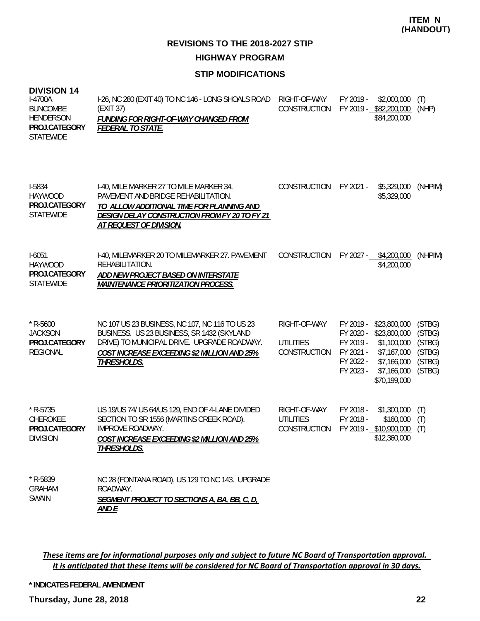### **STIP MODIFICATIONS**

#### **DIVISION 14**

| $I-4700A$<br><b>BUNCOMBE</b><br>HENDERSON<br>PROJ.CATEGORY<br><b>STATEWIDE</b> | I-26, NC 280 (EXIT 40) TO NC 146 - LONG SHOALS ROAD<br>(EXIT 37)<br>FUNDING FOR RIGHT-OF-WAY CHANGED FROM<br><i>FEDERAL TO STATE.</i>                                               | RIGHT-OF-WAY<br><b>CONSTRUCTION</b> | FY 2019 -<br>FY 2019 - | \$2,000,000<br>\$82,200,000<br>\$84,200,000 | (T)<br>(NHP) |
|--------------------------------------------------------------------------------|-------------------------------------------------------------------------------------------------------------------------------------------------------------------------------------|-------------------------------------|------------------------|---------------------------------------------|--------------|
| <b>I-5834</b><br><b>HAYWOOD</b><br>PROJ.CATEGORY<br><b>STATEWIDE</b>           | I-40, MILE MARKER 27 TO MILE MARKER 34.<br>PAVEMENT AND BRIDGE REHABILITATION.<br>TO ALLOW ADDITIONAL TIME FOR PLANNING AND<br><i>DESIGN DELAY CONSTRUCTION FROM FY 20 TO FY 21</i> | CONSTRUCTION                        | FY 2021 -              | \$5,329,000<br>\$5,329,000                  | (NHPIM)      |

| $1-6051$      | 1-40, MILEMARKER 20 TO MILEMARKER 27. PAVEMENT | CONSTRUCTION FY 2027 - | \$4,200,000 | (NHPIM) |
|---------------|------------------------------------------------|------------------------|-------------|---------|
| HAYWOOD       | REHABILITATION.                                |                        | \$4,200,000 |         |
| PROJ.CATEGORY | ADD NEW PROJECT BASED ON INTERSTATE            |                        |             |         |
| STATFWIDE     | <i>MAINTENANCE PRIORITIZATION PROCESS.</i>     |                        |             |         |
|               |                                                |                        |             |         |

| $*$ R-5600<br><b>JACKSON</b><br>PROJ.CATEGORY<br>REGIONAL  | NC 107 US 23 BUSINESS, NC 107, NC 116 TO US 23<br>BUSINESS. US 23 BUSINESS, SR 1432 (SKYLAND<br>DRIVE) TO MUNICIPAL DRIVE. UPGRADE ROADWAY.<br><b>COST INCREASE EXCEEDING \$2 MILLION AND 25%</b><br>THRESHOLDS. | RIGHT-OF-WAY<br>UTILITIES<br><b>CONSTRUCTION</b> | FY 2019 -<br>FY 2020 -<br>FY 2019 -<br>FY 2021 -<br>FY 2022 -<br>FY 2023 - | \$23,800,000<br>\$23,800,000<br>\$1,100,000<br>\$7,167,000<br>\$7,166,000<br>\$7,166,000<br>\$70,199,000 | (STBG)<br>(STBG)<br>(STBG)<br>(STBG)<br>(STBG)<br>(STBG) |
|------------------------------------------------------------|------------------------------------------------------------------------------------------------------------------------------------------------------------------------------------------------------------------|--------------------------------------------------|----------------------------------------------------------------------------|----------------------------------------------------------------------------------------------------------|----------------------------------------------------------|
| $*$ R-5735<br>CHEROKEE<br>PROJ.CATEGORY<br><b>DIVISION</b> | US 19/US 74/ US 64/US 129, END OF 4-LANE DIVIDED<br>SECTION TO SR 1556 (MARTINS CREEK ROAD).<br>IMPROVE ROADWAY.<br><b>COST INCREASE EXCEEDING \$2 MILLION AND 25%</b><br><i>THRESHOLDS.</i>                     | RIGHT-OF-WAY<br>UTILITIES<br><b>CONSTRUCTION</b> | FY 2018 -<br>FY 2018 -<br>FY 2019 -                                        | \$1,300,000<br>\$160,000<br>\$10,900,000<br>\$12,360,000                                                 | (T)<br>(T)<br>(T)                                        |
| $*$ D_5830                                                 | NC 28 (FONTANA ROAD) HS 120 TO NC 143 HIDCRADE                                                                                                                                                                   |                                                  |                                                                            |                                                                                                          |                                                          |

| * R-5839 | NC 28 (FONTANA ROAD), US 129 TO NC 143. UPGRADE       |
|----------|-------------------------------------------------------|
| GRAHAM   | ROADWAY.                                              |
| SWAIN    | SEGMENT PROJECT TO SECTIONS A, BA, BB, C, D,<br>AND F |

*AT REQUEST OF DIVISION.*

These items are for informational purposes only and subject to future NC Board of Transportation approval. It is anticipated that these items will be considered for NC Board of Transportation approval in 30 days.

**\* INDICATES FEDERAL AMENDMENT**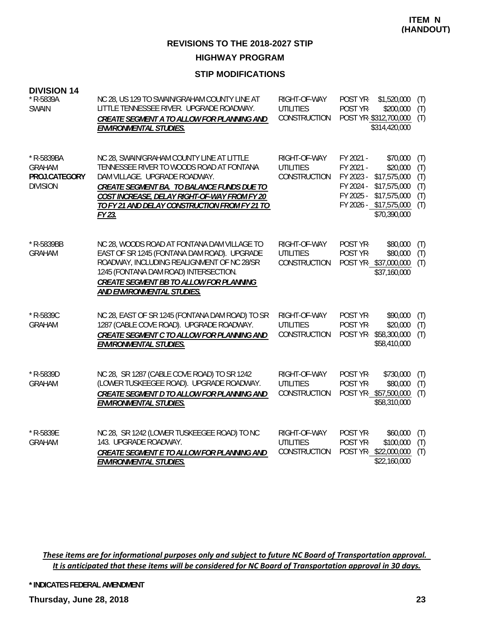#### **STIP MODIFICATIONS**

|  | <b>DIVISION 14</b> |  |
|--|--------------------|--|
|  |                    |  |

| * R-5839A<br><b>SWAIN</b>                                       | NC 28, US 129 TO SWAIN/GRAHAM COUNTY LINE AT<br>LITTLE TENNESSEE RIVER. UPGRADE ROADWAY.<br>CREATE SEGMENT A TO ALLOW FOR PLANNING AND<br>ENVIRONMENTAL STUDIES.                                                                                                                | RIGHT-OF-WAY<br><b>UTILITIES</b><br>CONSTRUCTION        | POST YR-<br>POST YR-                                          | \$1,520,000<br>\$200,000<br>POST YR-\$312,700,000<br>\$314,420,000                                             | (T)<br>(T)<br>(T)                      |
|-----------------------------------------------------------------|---------------------------------------------------------------------------------------------------------------------------------------------------------------------------------------------------------------------------------------------------------------------------------|---------------------------------------------------------|---------------------------------------------------------------|----------------------------------------------------------------------------------------------------------------|----------------------------------------|
| * R-5839BA<br><b>GRAHAM</b><br>PROJ.CATEGORY<br><b>DIVISION</b> | NC 28, SWAIN/GRAHAM COUNTY LINE AT LITTLE<br>TENNESSEE RIVER TO WOODS ROAD AT FONTANA<br>DAM VILLAGE. UPGRADE ROADWAY.<br>CREATE SEGMENT BA. TO BALANCE FUNDS DUE TO<br>COST INCREASE, DELAY RIGHT-OF-WAY FROM FY 20<br>TO FY 21 AND DELAY CONSTRUCTION FROM FY 21 TO<br>FY 23. | RIGHT-OF-WAY<br><b>UTILITIES</b><br>CONSTRUCTION        | FY 2021 -<br>FY 2021 -<br>FY 2023 -<br>FY 2024 -<br>FY 2025 - | \$70,000<br>\$20,000<br>\$17,575,000<br>\$17,575,000<br>\$17,575,000<br>FY 2026 - \$17,575,000<br>\$70,390,000 | (T)<br>(T)<br>(T)<br>(T)<br>(T)<br>(T) |
| * R-5839BB<br><b>GRAHAM</b>                                     | NC 28, WOODS ROAD AT FONTANA DAM VILLAGE TO<br>EAST OF SR 1245 (FONTANA DAM ROAD). UPGRADE<br>ROADWAY, INCLUDING REALIGNMENT OF NC 28/SR<br>1245 (FONTANA DAM ROAD) INTERSECTION.<br>CREATE SEGMENT BB TO ALLOW FOR PLANNING<br>AND ENVIRONMENTAL STUDIES.                      | RIGHT-OF-WAY<br><b>UTILITIES</b><br><b>CONSTRUCTION</b> | POST YR-<br>POST YR-                                          | \$80,000<br>\$80,000<br>POST YR-\$37,000,000<br>\$37,160,000                                                   | (T)<br>(T)<br>(T)                      |
| * R-5839C<br><b>GRAHAM</b>                                      | NC 28, EAST OF SR 1245 (FONTANA DAM ROAD) TO SR<br>1287 (CABLE COVE ROAD). UPGRADE ROADWAY.<br>CREATE SEGMENT C TO ALLOW FOR PLANNING AND<br>ENVIRONMENTAL STUDIES.                                                                                                             | RIGHT-OF-WAY<br><b>UTILITIES</b><br>CONSTRUCTION        | POST YR-<br>POST YR-<br>POST YR-                              | \$90,000<br>\$20,000<br>\$58,300,000<br>\$58,410,000                                                           | (T)<br>(T)<br>(T)                      |
| * R-5839D<br><b>GRAHAM</b>                                      | NC 28, SR 1287 (CABLE COVE ROAD) TO SR 1242<br>(LOWER TUSKEEGEE ROAD). UPGRADE ROADWAY.<br><b>CREATE SEGMENT D TO ALLOW FOR PLANNING AND</b><br>ENVIRONMENTAL STUDIES.                                                                                                          | RIGHT-OF-WAY<br><b>UTILITIES</b><br>CONSTRUCTION        | POST YR-<br>POST YR-                                          | \$730,000<br>\$80,000<br>POST YR-\$57,500,000<br>\$58,310,000                                                  | (T)<br>(T)<br>(T)                      |
| * R-5839E<br><b>GRAHAM</b>                                      | NC 28, SR 1242 (LOWER TUSKEEGEE ROAD) TO NC<br>143. UPGRADE ROADWAY.<br><b>CREATE SEGMENT E TO ALLOW FOR PLANNING AND</b><br><b>ENVIRONMENTAL STUDIES.</b>                                                                                                                      | RIGHT-OF-WAY<br><b>UTILITIES</b><br>CONSTRUCTION        | POST YR-<br>POST YR-                                          | \$60,000<br>\$100,000<br>POST YR-\$22,000,000<br>\$22,160,000                                                  | (T)<br>(T)<br>(T)                      |

These items are for informational purposes only and subject to future NC Board of Transportation approval. It is anticipated that these items will be considered for NC Board of Transportation approval in 30 days.

**\* INDICATES FEDERAL AMENDMENT**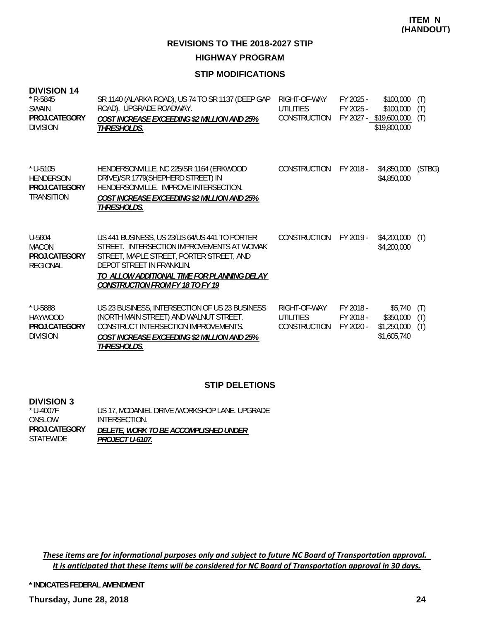#### **STIP MODIFICATIONS**

| <b>DIVISION 14</b><br>$*$ R-5845<br><b>SWAIN</b><br>PROJ.CATEGORY<br><b>DIVISION</b> | SR 1140 (ALARKA ROAD), US 74 TO SR 1137 (DEEP GAP<br>ROAD). UPGRADE ROADWAY.<br><b>COST INCREASE EXCEEDING \$2 MILLION AND 25%</b><br>THRESHOLDS.                                                                                                              | RIGHT-OF-WAY<br>UTILITIES<br><b>CONSTRUCTION</b>        | FY 2025 -<br>FY 2025 -              | \$100,000<br>\$100,000<br>FY 2027 - \$19,600,000<br>\$19,800,000 | (T)<br>(T)<br>(T) |
|--------------------------------------------------------------------------------------|----------------------------------------------------------------------------------------------------------------------------------------------------------------------------------------------------------------------------------------------------------------|---------------------------------------------------------|-------------------------------------|------------------------------------------------------------------|-------------------|
| $*$ U-5105<br><b>HENDERSON</b><br>PROJ.CATEGORY<br><b>TRANSITION</b>                 | HENDERSONVILLE, NC 225/SR 1164 (ERKWOOD<br>DRIVE)/SR 1779(SHEPHERD STREET) IN<br>HENDERSONVILLE, IMPROVE INTERSECTION.<br><b>COST INCREASE EXCEEDING \$2 MILLION AND 25%</b><br>THRESHOLDS.                                                                    | <b>CONSTRUCTION</b>                                     | FY 2018 -                           | \$4,850,000<br>\$4,850,000                                       | (STBG)            |
| U-5604<br><b>MACON</b><br>PROJ.CATEGORY<br><b>REGIONAL</b>                           | US 441 BUSINESS, US 23/US 64/US 441 TO PORTER<br>STREET. INTERSECTION IMPROVEMENTS AT WOMAK<br>STREET, MAPLE STREET, PORTER STREET, AND<br>DEPOT STREET IN FRANKLIN.<br>TO ALLOW ADDITIONAL TIME FOR PLANNING DELAY<br><b>CONSTRUCTION FROM FY 18 TO FY 19</b> | <b>CONSTRUCTION</b>                                     | FY 2019 -                           | \$4,200,000<br>\$4,200,000                                       | (T)               |
| * U-5888<br><b>HAYWOOD</b><br>PROJ.CATEGORY<br><b>DIVISION</b>                       | US 23 BUSINESS, INTERSECTION OF US 23 BUSINESS<br>(NORTH MAIN STREET) AND WALNUT STREET.<br>CONSTRUCT INTERSECTION IMPROVEMENTS.<br><b>COST INCREASE EXCEEDING \$2 MILLION AND 25%</b><br><i>THRESHOLDS.</i>                                                   | RIGHT-OF-WAY<br><b>UTILITIES</b><br><b>CONSTRUCTION</b> | FY 2018 -<br>FY 2018 -<br>FY 2020 - | \$5,740<br>\$350,000<br>\$1,250,000<br>\$1,605,740               | (T)<br>(T)<br>(T) |

#### **STIP DELETIONS**

#### **DIVISION 3**

| * U-4007F     | US 17, MCDANIEL DRIVE / WORKSHOP LANE. UPGRADE |
|---------------|------------------------------------------------|
| ONSLOW        | INTERSECTION.                                  |
| PROJ.CATEGORY | <i>DELETE, WORK TO BE ACCOMPLISHED UNDER</i>   |
| STATEWIDE     | <i>PROJECT U-6107.</i>                         |

These items are for informational purposes only and subject to future NC Board of Transportation approval. It is anticipated that these items will be considered for NC Board of Transportation approval in 30 days.

**\* INDICATES FEDERAL AMENDMENT**